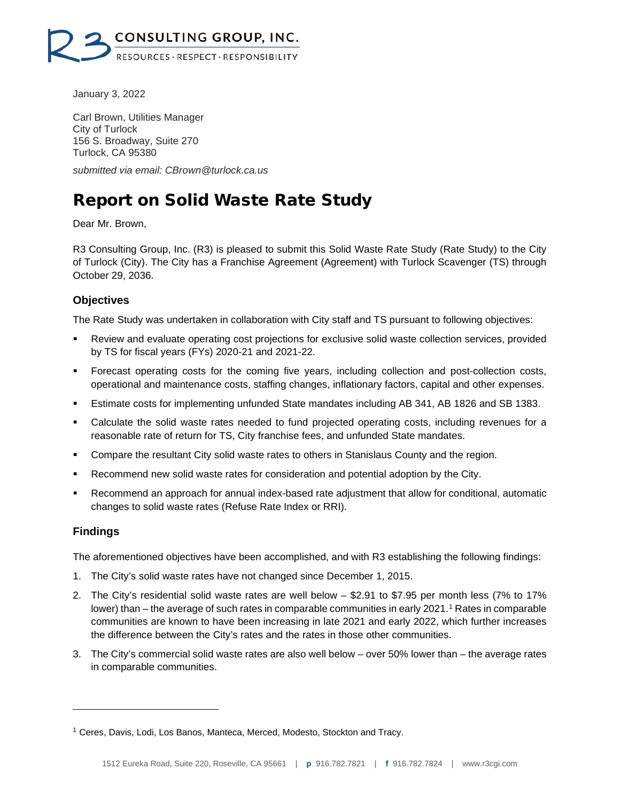

January 3, 2022

Carl Brown, Utilities Manager City of Turlock 156 S. Broadway, Suite 270 Turlock, CA 95380

*submitted via email: CBrown@turlock.ca.us*

# Report on Solid Waste Rate Study

Dear Mr. Brown,

R3 Consulting Group, Inc. (R3) is pleased to submit this Solid Waste Rate Study (Rate Study) to the City of Turlock (City). The City has a Franchise Agreement (Agreement) with Turlock Scavenger (TS) through October 29, 2036.

### **Objectives**

The Rate Study was undertaken in collaboration with City staff and TS pursuant to following objectives:

- Review and evaluate operating cost projections for exclusive solid waste collection services, provided by TS for fiscal years (FYs) 2020-21 and 2021-22.
- Forecast operating costs for the coming five years, including collection and post-collection costs, operational and maintenance costs, staffing changes, inflationary factors, capital and other expenses.
- Estimate costs for implementing unfunded State mandates including AB 341, AB 1826 and SB 1383.
- Calculate the solid waste rates needed to fund projected operating costs, including revenues for a reasonable rate of return for TS, City franchise fees, and unfunded State mandates.
- Compare the resultant City solid waste rates to others in Stanislaus County and the region.
- Recommend new solid waste rates for consideration and potential adoption by the City.
- Recommend an approach for annual index-based rate adjustment that allow for conditional, automatic changes to solid waste rates (Refuse Rate Index or RRI).

### **Findings**

The aforementioned objectives have been accomplished, and with R3 establishing the following findings:

- 1. The City's solid waste rates have not changed since December 1, 2015.
- 2. The City's residential solid waste rates are well below \$2.91 to \$7.95 per month less (7% to 17% lower) than – the average of such rates in comparable communities in early 202[1](#page-0-0).<sup>1</sup> Rates in comparable communities are known to have been increasing in late 2021 and early 2022, which further increases the difference between the City's rates and the rates in those other communities.
- 3. The City's commercial solid waste rates are also well below over 50% lower than the average rates in comparable communities.

<span id="page-0-0"></span><sup>1</sup> Ceres, Davis, Lodi, Los Banos, Manteca, Merced, Modesto, Stockton and Tracy.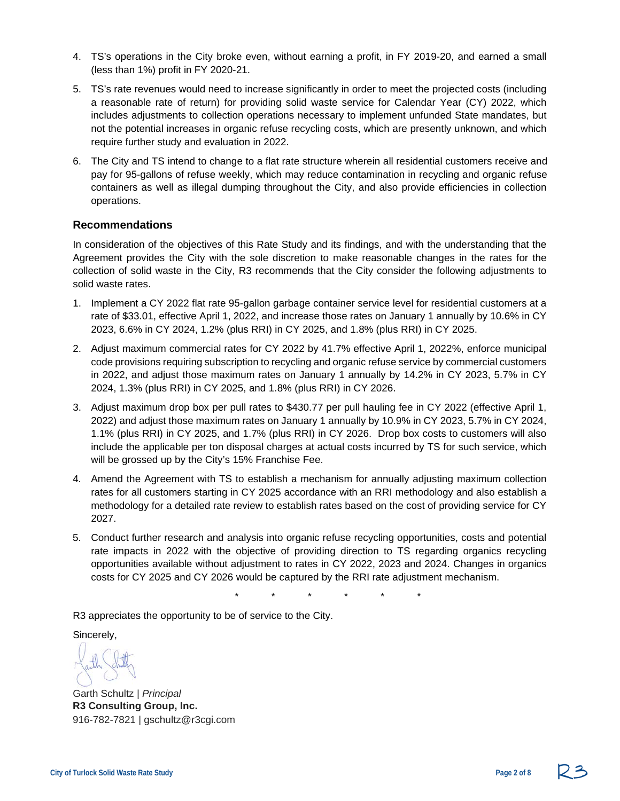- 4. TS's operations in the City broke even, without earning a profit, in FY 2019-20, and earned a small (less than 1%) profit in FY 2020-21.
- 5. TS's rate revenues would need to increase significantly in order to meet the projected costs (including a reasonable rate of return) for providing solid waste service for Calendar Year (CY) 2022, which includes adjustments to collection operations necessary to implement unfunded State mandates, but not the potential increases in organic refuse recycling costs, which are presently unknown, and which require further study and evaluation in 2022.
- 6. The City and TS intend to change to a flat rate structure wherein all residential customers receive and pay for 95-gallons of refuse weekly, which may reduce contamination in recycling and organic refuse containers as well as illegal dumping throughout the City, and also provide efficiencies in collection operations.

#### **Recommendations**

In consideration of the objectives of this Rate Study and its findings, and with the understanding that the Agreement provides the City with the sole discretion to make reasonable changes in the rates for the collection of solid waste in the City, R3 recommends that the City consider the following adjustments to solid waste rates.

- 1. Implement a CY 2022 flat rate 95-gallon garbage container service level for residential customers at a rate of \$33.01, effective April 1, 2022, and increase those rates on January 1 annually by 10.6% in CY 2023, 6.6% in CY 2024, 1.2% (plus RRI) in CY 2025, and 1.8% (plus RRI) in CY 2025.
- 2. Adjust maximum commercial rates for CY 2022 by 41.7% effective April 1, 2022%, enforce municipal code provisions requiring subscription to recycling and organic refuse service by commercial customers in 2022, and adjust those maximum rates on January 1 annually by 14.2% in CY 2023, 5.7% in CY 2024, 1.3% (plus RRI) in CY 2025, and 1.8% (plus RRI) in CY 2026.
- 3. Adjust maximum drop box per pull rates to \$430.77 per pull hauling fee in CY 2022 (effective April 1, 2022) and adjust those maximum rates on January 1 annually by 10.9% in CY 2023, 5.7% in CY 2024, 1.1% (plus RRI) in CY 2025, and 1.7% (plus RRI) in CY 2026. Drop box costs to customers will also include the applicable per ton disposal charges at actual costs incurred by TS for such service, which will be grossed up by the City's 15% Franchise Fee.
- 4. Amend the Agreement with TS to establish a mechanism for annually adjusting maximum collection rates for all customers starting in CY 2025 accordance with an RRI methodology and also establish a methodology for a detailed rate review to establish rates based on the cost of providing service for CY 2027.
- 5. Conduct further research and analysis into organic refuse recycling opportunities, costs and potential rate impacts in 2022 with the objective of providing direction to TS regarding organics recycling opportunities available without adjustment to rates in CY 2022, 2023 and 2024. Changes in organics costs for CY 2025 and CY 2026 would be captured by the RRI rate adjustment mechanism.

\* \* \* \* \* \*

R3 appreciates the opportunity to be of service to the City.

Sincerely,

Garth Schultz | *Principal* **R3 Consulting Group, Inc.**  916-782-7821 | gschultz@r3cgi.com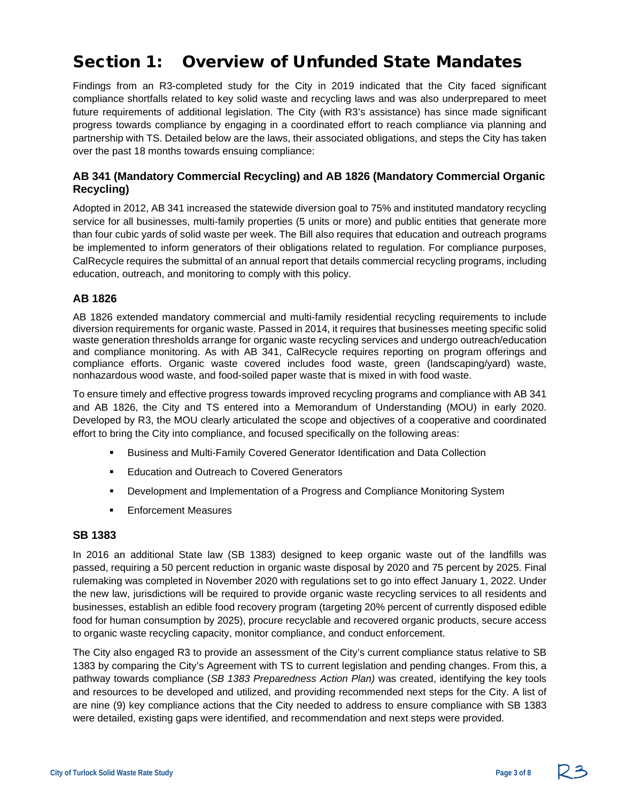# Section 1: Overview of Unfunded State Mandates

Findings from an R3-completed study for the City in 2019 indicated that the City faced significant compliance shortfalls related to key solid waste and recycling laws and was also underprepared to meet future requirements of additional legislation. The City (with R3's assistance) has since made significant progress towards compliance by engaging in a coordinated effort to reach compliance via planning and partnership with TS. Detailed below are the laws, their associated obligations, and steps the City has taken over the past 18 months towards ensuing compliance:

### **AB 341 (Mandatory Commercial Recycling) and AB 1826 (Mandatory Commercial Organic Recycling)**

Adopted in 2012, AB 341 increased the statewide diversion goal to 75% and instituted mandatory recycling service for all businesses, multi-family properties (5 units or more) and public entities that generate more than four cubic yards of solid waste per week. The Bill also requires that education and outreach programs be implemented to inform generators of their obligations related to regulation. For compliance purposes, CalRecycle requires the submittal of an annual report that details commercial recycling programs, including education, outreach, and monitoring to comply with this policy.

### **AB 1826**

AB 1826 extended mandatory commercial and multi-family residential recycling requirements to include diversion requirements for organic waste. Passed in 2014, it requires that businesses meeting specific solid waste generation thresholds arrange for organic waste recycling services and undergo outreach/education and compliance monitoring. As with AB 341, CalRecycle requires reporting on program offerings and compliance efforts. Organic waste covered includes food waste, green (landscaping/yard) waste, nonhazardous wood waste, and food-soiled paper waste that is mixed in with food waste.

To ensure timely and effective progress towards improved recycling programs and compliance with AB 341 and AB 1826, the City and TS entered into a Memorandum of Understanding (MOU) in early 2020. Developed by R3, the MOU clearly articulated the scope and objectives of a cooperative and coordinated effort to bring the City into compliance, and focused specifically on the following areas:

- Business and Multi-Family Covered Generator Identification and Data Collection
- **Education and Outreach to Covered Generators**
- Development and Implementation of a Progress and Compliance Monitoring System
- **Enforcement Measures**

#### **SB 1383**

In 2016 an additional State law (SB 1383) designed to keep organic waste out of the landfills was passed, requiring a 50 percent reduction in organic waste disposal by 2020 and 75 percent by 2025. Final rulemaking was completed in November 2020 with regulations set to go into effect January 1, 2022. Under the new law, jurisdictions will be required to provide organic waste recycling services to all residents and businesses, establish an edible food recovery program (targeting 20% percent of currently disposed edible food for human consumption by 2025), procure recyclable and recovered organic products, secure access to organic waste recycling capacity, monitor compliance, and conduct enforcement.

The City also engaged R3 to provide an assessment of the City's current compliance status relative to SB 1383 by comparing the City's Agreement with TS to current legislation and pending changes. From this, a pathway towards compliance (*SB 1383 Preparedness Action Plan)* was created, identifying the key tools and resources to be developed and utilized, and providing recommended next steps for the City. A list of are nine (9) key compliance actions that the City needed to address to ensure compliance with SB 1383 were detailed, existing gaps were identified, and recommendation and next steps were provided.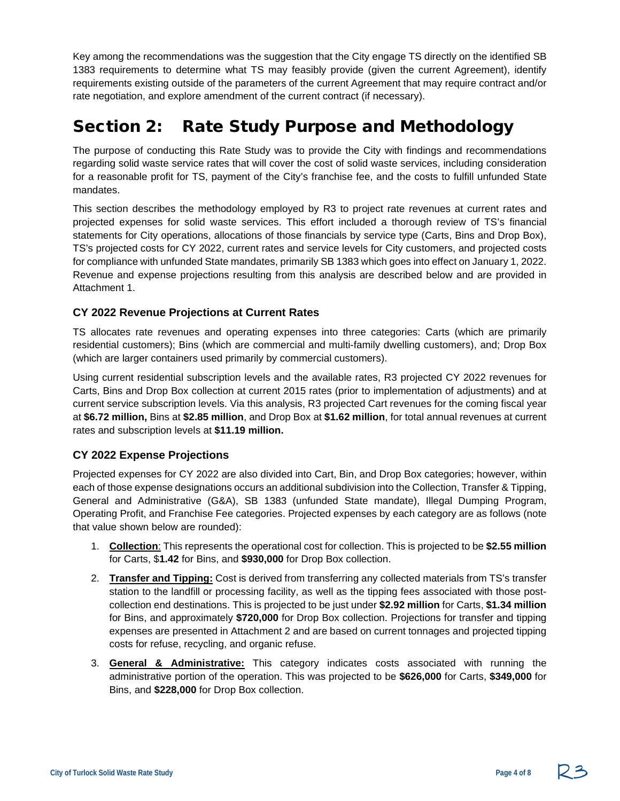Key among the recommendations was the suggestion that the City engage TS directly on the identified SB 1383 requirements to determine what TS may feasibly provide (given the current Agreement), identify requirements existing outside of the parameters of the current Agreement that may require contract and/or rate negotiation, and explore amendment of the current contract (if necessary).

### Section 2: Rate Study Purpose and Methodology

The purpose of conducting this Rate Study was to provide the City with findings and recommendations regarding solid waste service rates that will cover the cost of solid waste services, including consideration for a reasonable profit for TS, payment of the City's franchise fee, and the costs to fulfill unfunded State mandates.

This section describes the methodology employed by R3 to project rate revenues at current rates and projected expenses for solid waste services. This effort included a thorough review of TS's financial statements for City operations, allocations of those financials by service type (Carts, Bins and Drop Box), TS's projected costs for CY 2022, current rates and service levels for City customers, and projected costs for compliance with unfunded State mandates, primarily SB 1383 which goes into effect on January 1, 2022. Revenue and expense projections resulting from this analysis are described below and are provided in Attachment 1.

### **CY 2022 Revenue Projections at Current Rates**

TS allocates rate revenues and operating expenses into three categories: Carts (which are primarily residential customers); Bins (which are commercial and multi-family dwelling customers), and; Drop Box (which are larger containers used primarily by commercial customers).

Using current residential subscription levels and the available rates, R3 projected CY 2022 revenues for Carts, Bins and Drop Box collection at current 2015 rates (prior to implementation of adjustments) and at current service subscription levels. Via this analysis, R3 projected Cart revenues for the coming fiscal year at **\$6.72 million,** Bins at **\$2.85 million**, and Drop Box at **\$1.62 million**, for total annual revenues at current rates and subscription levels at **\$11.19 million.**

### **CY 2022 Expense Projections**

Projected expenses for CY 2022 are also divided into Cart, Bin, and Drop Box categories; however, within each of those expense designations occurs an additional subdivision into the Collection, Transfer & Tipping, General and Administrative (G&A), SB 1383 (unfunded State mandate), Illegal Dumping Program, Operating Profit, and Franchise Fee categories. Projected expenses by each category are as follows (note that value shown below are rounded):

- 1. **Collection**: This represents the operational cost for collection. This is projected to be **\$2.55 million** for Carts, \$**1.42** for Bins, and **\$930,000** for Drop Box collection.
- 2. **Transfer and Tipping:** Cost is derived from transferring any collected materials from TS's transfer station to the landfill or processing facility, as well as the tipping fees associated with those postcollection end destinations. This is projected to be just under **\$2.92 million** for Carts, **\$1.34 million** for Bins, and approximately **\$720,000** for Drop Box collection. Projections for transfer and tipping expenses are presented in Attachment 2 and are based on current tonnages and projected tipping costs for refuse, recycling, and organic refuse.
- 3. **General & Administrative:** This category indicates costs associated with running the administrative portion of the operation. This was projected to be **\$626,000** for Carts, **\$349,000** for Bins, and **\$228,000** for Drop Box collection.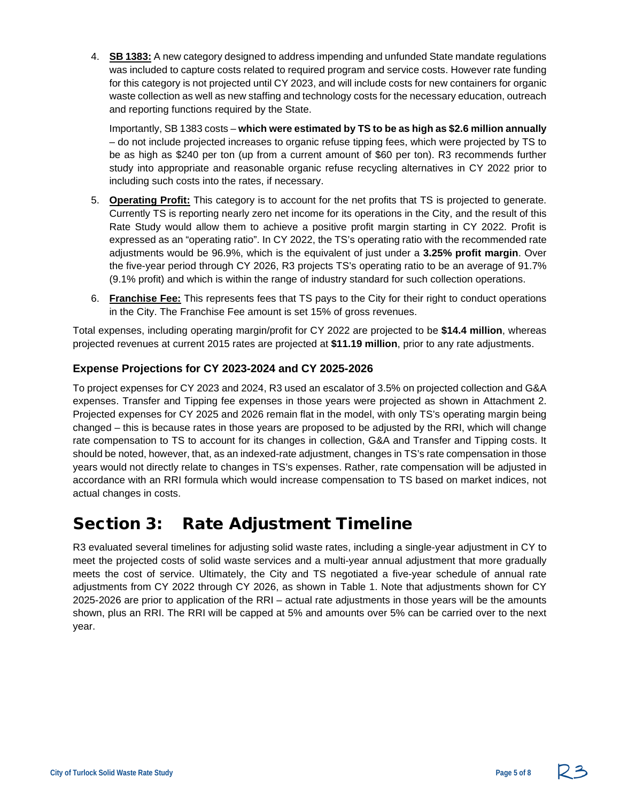4. **SB 1383:** A new category designed to address impending and unfunded State mandate regulations was included to capture costs related to required program and service costs. However rate funding for this category is not projected until CY 2023, and will include costs for new containers for organic waste collection as well as new staffing and technology costs for the necessary education, outreach and reporting functions required by the State.

Importantly, SB 1383 costs – **which were estimated by TS to be as high as \$2.6 million annually** – do not include projected increases to organic refuse tipping fees, which were projected by TS to be as high as \$240 per ton (up from a current amount of \$60 per ton). R3 recommends further study into appropriate and reasonable organic refuse recycling alternatives in CY 2022 prior to including such costs into the rates, if necessary.

- 5. **Operating Profit:** This category is to account for the net profits that TS is projected to generate. Currently TS is reporting nearly zero net income for its operations in the City, and the result of this Rate Study would allow them to achieve a positive profit margin starting in CY 2022. Profit is expressed as an "operating ratio". In CY 2022, the TS's operating ratio with the recommended rate adjustments would be 96.9%, which is the equivalent of just under a **3.25% profit margin**. Over the five-year period through CY 2026, R3 projects TS's operating ratio to be an average of 91.7% (9.1% profit) and which is within the range of industry standard for such collection operations.
- 6. **Franchise Fee:** This represents fees that TS pays to the City for their right to conduct operations in the City. The Franchise Fee amount is set 15% of gross revenues.

Total expenses, including operating margin/profit for CY 2022 are projected to be **\$14.4 million**, whereas projected revenues at current 2015 rates are projected at **\$11.19 million**, prior to any rate adjustments.

### **Expense Projections for CY 2023-2024 and CY 2025-2026**

To project expenses for CY 2023 and 2024, R3 used an escalator of 3.5% on projected collection and G&A expenses. Transfer and Tipping fee expenses in those years were projected as shown in Attachment 2. Projected expenses for CY 2025 and 2026 remain flat in the model, with only TS's operating margin being changed – this is because rates in those years are proposed to be adjusted by the RRI, which will change rate compensation to TS to account for its changes in collection, G&A and Transfer and Tipping costs. It should be noted, however, that, as an indexed-rate adjustment, changes in TS's rate compensation in those years would not directly relate to changes in TS's expenses. Rather, rate compensation will be adjusted in accordance with an RRI formula which would increase compensation to TS based on market indices, not actual changes in costs.

### Section 3: Rate Adjustment Timeline

R3 evaluated several timelines for adjusting solid waste rates, including a single-year adjustment in CY to meet the projected costs of solid waste services and a multi-year annual adjustment that more gradually meets the cost of service. Ultimately, the City and TS negotiated a five-year schedule of annual rate adjustments from CY 2022 through CY 2026, as shown in Table 1. Note that adjustments shown for CY 2025-2026 are prior to application of the RRI – actual rate adjustments in those years will be the amounts shown, plus an RRI. The RRI will be capped at 5% and amounts over 5% can be carried over to the next year.

23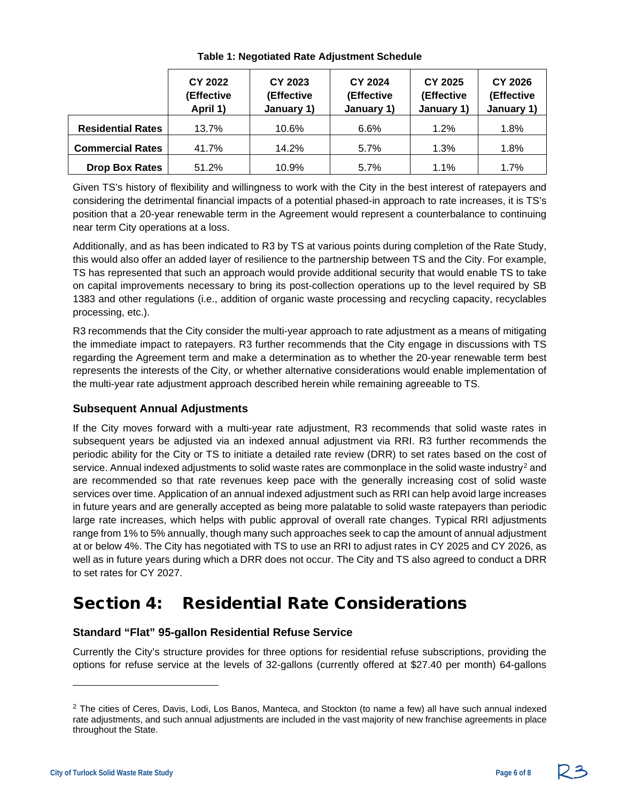|                          | <b>CY 2022</b><br>(Effective<br>April 1) | <b>CY 2023</b><br>(Effective<br>January 1) | <b>CY 2024</b><br>(Effective<br>January 1) | <b>CY 2025</b><br>(Effective<br>January 1) | CY 2026<br>(Effective<br>January 1) |
|--------------------------|------------------------------------------|--------------------------------------------|--------------------------------------------|--------------------------------------------|-------------------------------------|
| <b>Residential Rates</b> | 13.7%                                    | 10.6%                                      | 6.6%                                       | 1.2%                                       | 1.8%                                |
| <b>Commercial Rates</b>  | 41.7%                                    | 14.2%                                      | 5.7%                                       | 1.3%                                       | 1.8%                                |
| <b>Drop Box Rates</b>    | 51.2%                                    | 10.9%                                      | 5.7%                                       | 1.1%                                       | 1.7%                                |

**Table 1: Negotiated Rate Adjustment Schedule**

Given TS's history of flexibility and willingness to work with the City in the best interest of ratepayers and considering the detrimental financial impacts of a potential phased-in approach to rate increases, it is TS's position that a 20-year renewable term in the Agreement would represent a counterbalance to continuing near term City operations at a loss.

Additionally, and as has been indicated to R3 by TS at various points during completion of the Rate Study, this would also offer an added layer of resilience to the partnership between TS and the City. For example, TS has represented that such an approach would provide additional security that would enable TS to take on capital improvements necessary to bring its post-collection operations up to the level required by SB 1383 and other regulations (i.e., addition of organic waste processing and recycling capacity, recyclables processing, etc.).

R3 recommends that the City consider the multi-year approach to rate adjustment as a means of mitigating the immediate impact to ratepayers. R3 further recommends that the City engage in discussions with TS regarding the Agreement term and make a determination as to whether the 20-year renewable term best represents the interests of the City, or whether alternative considerations would enable implementation of the multi-year rate adjustment approach described herein while remaining agreeable to TS.

### **Subsequent Annual Adjustments**

If the City moves forward with a multi-year rate adjustment, R3 recommends that solid waste rates in subsequent years be adjusted via an indexed annual adjustment via RRI. R3 further recommends the periodic ability for the City or TS to initiate a detailed rate review (DRR) to set rates based on the cost of service. Annual indexed adjustments to solid waste rates are commonplace in the solid waste industry<sup>[2](#page-5-0)</sup> and are recommended so that rate revenues keep pace with the generally increasing cost of solid waste services over time. Application of an annual indexed adjustment such as RRI can help avoid large increases in future years and are generally accepted as being more palatable to solid waste ratepayers than periodic large rate increases, which helps with public approval of overall rate changes. Typical RRI adjustments range from 1% to 5% annually, though many such approaches seek to cap the amount of annual adjustment at or below 4%. The City has negotiated with TS to use an RRI to adjust rates in CY 2025 and CY 2026, as well as in future years during which a DRR does not occur. The City and TS also agreed to conduct a DRR to set rates for CY 2027.

# Section 4: Residential Rate Considerations

### **Standard "Flat" 95-gallon Residential Refuse Service**

Currently the City's structure provides for three options for residential refuse subscriptions, providing the options for refuse service at the levels of 32-gallons (currently offered at \$27.40 per month) 64-gallons

<span id="page-5-0"></span><sup>&</sup>lt;sup>2</sup> The cities of Ceres, Davis, Lodi, Los Banos, Manteca, and Stockton (to name a few) all have such annual indexed rate adjustments, and such annual adjustments are included in the vast majority of new franchise agreements in place throughout the State.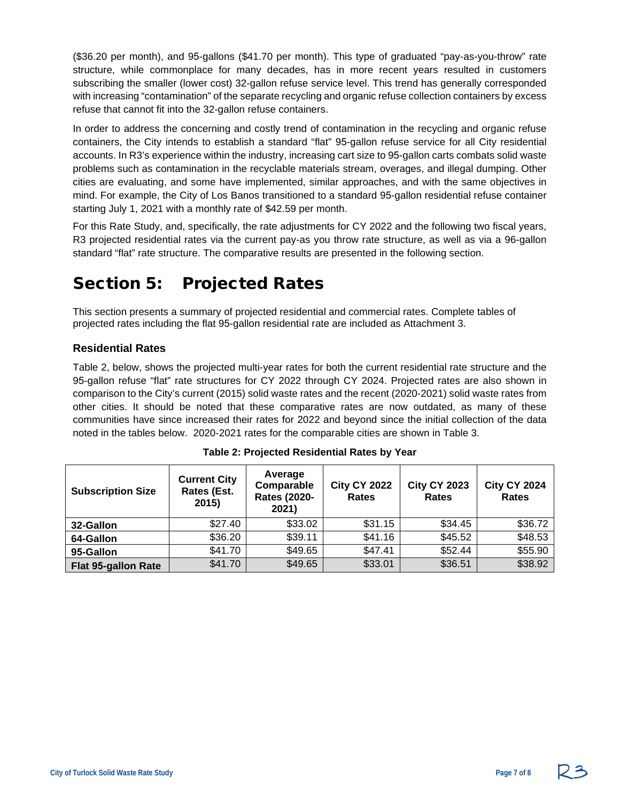(\$36.20 per month), and 95-gallons (\$41.70 per month). This type of graduated "pay-as-you-throw" rate structure, while commonplace for many decades, has in more recent years resulted in customers subscribing the smaller (lower cost) 32-gallon refuse service level. This trend has generally corresponded with increasing "contamination" of the separate recycling and organic refuse collection containers by excess refuse that cannot fit into the 32-gallon refuse containers.

In order to address the concerning and costly trend of contamination in the recycling and organic refuse containers, the City intends to establish a standard "flat" 95-gallon refuse service for all City residential accounts. In R3's experience within the industry, increasing cart size to 95-gallon carts combats solid waste problems such as contamination in the recyclable materials stream, overages, and illegal dumping. Other cities are evaluating, and some have implemented, similar approaches, and with the same objectives in mind. For example, the City of Los Banos transitioned to a standard 95-gallon residential refuse container starting July 1, 2021 with a monthly rate of \$42.59 per month.

For this Rate Study, and, specifically, the rate adjustments for CY 2022 and the following two fiscal years, R3 projected residential rates via the current pay-as you throw rate structure, as well as via a 96-gallon standard "flat" rate structure. The comparative results are presented in the following section.

# Section 5: Projected Rates

This section presents a summary of projected residential and commercial rates. Complete tables of projected rates including the flat 95-gallon residential rate are included as Attachment 3.

### **Residential Rates**

Table 2, below, shows the projected multi-year rates for both the current residential rate structure and the 95-gallon refuse "flat" rate structures for CY 2022 through CY 2024. Projected rates are also shown in comparison to the City's current (2015) solid waste rates and the recent (2020-2021) solid waste rates from other cities. It should be noted that these comparative rates are now outdated, as many of these communities have since increased their rates for 2022 and beyond since the initial collection of the data noted in the tables below. 2020-2021 rates for the comparable cities are shown in Table 3.

| <b>Subscription Size</b>   | <b>Current City</b><br>Rates (Est.<br>2015) | Average<br>Comparable<br><b>Rates (2020-</b><br>2021) | <b>City CY 2022</b><br><b>Rates</b> | <b>City CY 2023</b><br><b>Rates</b> | <b>City CY 2024</b><br><b>Rates</b> |
|----------------------------|---------------------------------------------|-------------------------------------------------------|-------------------------------------|-------------------------------------|-------------------------------------|
| 32-Gallon                  | \$27.40                                     | \$33.02                                               | \$31.15                             | \$34.45                             | \$36.72                             |
| 64-Gallon                  | \$36.20                                     | \$39.11                                               | \$41.16                             | \$45.52                             | \$48.53                             |
| 95-Gallon                  | \$41.70                                     | \$49.65                                               | \$47.41                             | \$52.44                             | \$55.90                             |
| <b>Flat 95-gallon Rate</b> | \$41.70                                     | \$49.65                                               | \$33.01                             | \$36.51                             | \$38.92                             |

| Table 2: Projected Residential Rates by Year |  |  |  |
|----------------------------------------------|--|--|--|
|----------------------------------------------|--|--|--|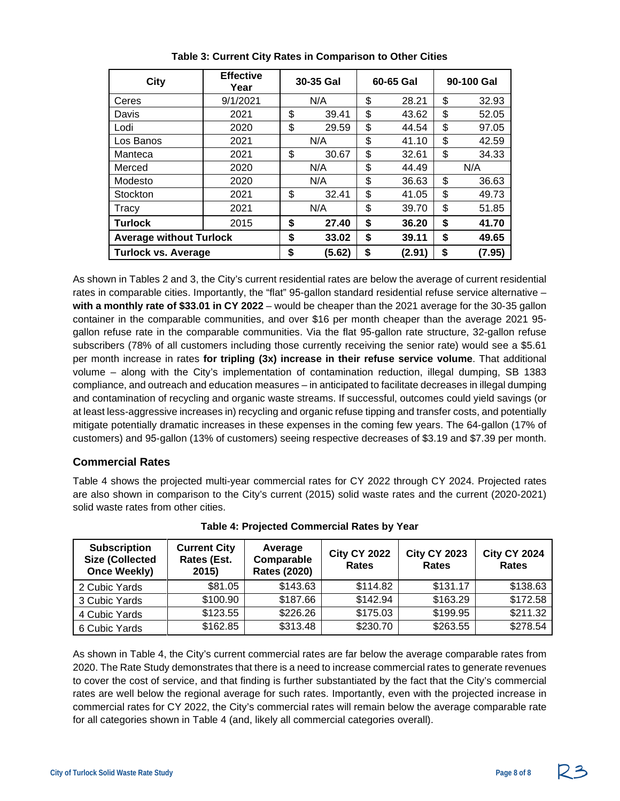| City                           | <b>Effective</b><br>Year | 30-35 Gal    | 60-65 Gal   | 90-100 Gal |       |  |
|--------------------------------|--------------------------|--------------|-------------|------------|-------|--|
| Ceres                          | 9/1/2021                 | N/A          | \$<br>28.21 | \$         | 32.93 |  |
| Davis                          | 2021                     | \$<br>39.41  | \$<br>43.62 | \$         | 52.05 |  |
| Lodi                           | 2020                     | \$<br>29.59  | \$<br>44.54 | \$         | 97.05 |  |
| Los Banos                      | 2021                     | N/A          | \$<br>41.10 | \$         | 42.59 |  |
| Manteca                        | 2021                     | \$<br>30.67  | \$<br>32.61 | \$         | 34.33 |  |
| Merced                         | 2020                     | N/A          | \$<br>44.49 |            | N/A   |  |
| Modesto                        | 2020                     | N/A          | \$<br>36.63 | \$         | 36.63 |  |
| Stockton                       | 2021                     | \$<br>32.41  | \$<br>41.05 | \$         | 49.73 |  |
| Tracy                          | 2021                     | N/A          | \$<br>39.70 | \$         | 51.85 |  |
| <b>Turlock</b>                 | 2015                     | \$<br>27.40  | \$<br>36.20 | \$         | 41.70 |  |
| <b>Average without Turlock</b> |                          | \$<br>33.02  | \$<br>39.11 | \$         | 49.65 |  |
| <b>Turlock vs. Average</b>     | \$<br>(5.62)             | \$<br>(2.91) | \$          | (7.95)     |       |  |

**Table 3: Current City Rates in Comparison to Other Cities**

As shown in Tables 2 and 3, the City's current residential rates are below the average of current residential rates in comparable cities. Importantly, the "flat" 95-gallon standard residential refuse service alternative – **with a monthly rate of \$33.01 in CY 2022** – would be cheaper than the 2021 average for the 30-35 gallon container in the comparable communities, and over \$16 per month cheaper than the average 2021 95 gallon refuse rate in the comparable communities. Via the flat 95-gallon rate structure, 32-gallon refuse subscribers (78% of all customers including those currently receiving the senior rate) would see a \$5.61 per month increase in rates **for tripling (3x) increase in their refuse service volume**. That additional volume – along with the City's implementation of contamination reduction, illegal dumping, SB 1383 compliance, and outreach and education measures – in anticipated to facilitate decreases in illegal dumping and contamination of recycling and organic waste streams. If successful, outcomes could yield savings (or at least less-aggressive increases in) recycling and organic refuse tipping and transfer costs, and potentially mitigate potentially dramatic increases in these expenses in the coming few years. The 64-gallon (17% of customers) and 95-gallon (13% of customers) seeing respective decreases of \$3.19 and \$7.39 per month.

#### **Commercial Rates**

Table 4 shows the projected multi-year commercial rates for CY 2022 through CY 2024. Projected rates are also shown in comparison to the City's current (2015) solid waste rates and the current (2020-2021) solid waste rates from other cities.

| <b>Subscription</b><br><b>Size (Collected</b><br><b>Once Weekly)</b> | <b>Current City</b><br>Rates (Est.<br>2015) | Average<br>Comparable<br><b>Rates (2020)</b> | <b>City CY 2022</b><br><b>Rates</b> | <b>City CY 2023</b><br><b>Rates</b> | <b>City CY 2024</b><br><b>Rates</b> |
|----------------------------------------------------------------------|---------------------------------------------|----------------------------------------------|-------------------------------------|-------------------------------------|-------------------------------------|
| 2 Cubic Yards                                                        | \$81.05                                     | \$143.63                                     | \$114.82                            | \$131.17                            | \$138.63                            |
| 3 Cubic Yards                                                        | \$100.90                                    | \$187.66                                     | \$142.94                            | \$163.29                            | \$172.58                            |
| 4 Cubic Yards                                                        | \$123.55                                    | \$226.26                                     | \$175.03                            | \$199.95                            | \$211.32                            |
| 6 Cubic Yards                                                        | \$162.85                                    | \$313.48                                     | \$230.70                            | \$263.55                            | \$278.54                            |

**Table 4: Projected Commercial Rates by Year**

As shown in Table 4, the City's current commercial rates are far below the average comparable rates from 2020. The Rate Study demonstrates that there is a need to increase commercial rates to generate revenues to cover the cost of service, and that finding is further substantiated by the fact that the City's commercial rates are well below the regional average for such rates. Importantly, even with the projected increase in commercial rates for CY 2022, the City's commercial rates will remain below the average comparable rate for all categories shown in Table 4 (and, likely all commercial categories overall).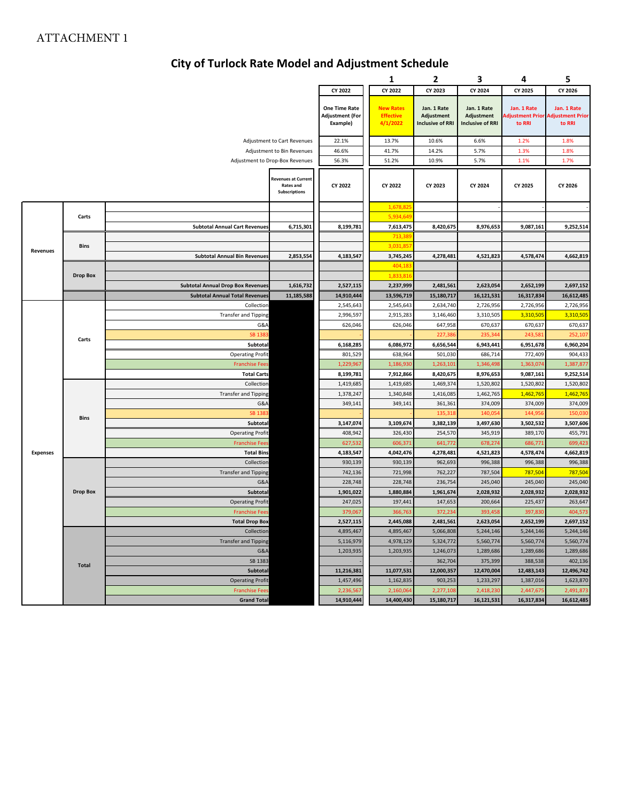### **City of Turlock Rate Model and Adjustment Schedule**

| CY 2022<br>CY 2022<br>CY 2023<br>CY 2024<br>CY 2025<br>CY 2026<br>One Time Rate<br><b>New Rates</b><br>Jan. 1 Rate<br>Jan. 1 Rate<br>Jan. 1 Rate<br>Jan. 1 Rate<br><b>Adjustment (For</b><br><b>Effective</b><br>Adjustment<br>Adjustment<br>djustment Prior<br>Adjustment Prior<br>Example)<br>4/1/2022<br><b>Inclusive of RRI</b><br><b>Inclusive of RRI</b><br>to RRI<br>to RRI<br>22.1%<br>13.7%<br>10.6%<br>6.6%<br>1.2%<br>1.8%<br>Adjustment to Cart Revenues<br>Adjustment to Bin Revenues<br>46.6%<br>41.7%<br>14.2%<br>5.7%<br>1.3%<br>1.8%<br>56.3%<br>51.2%<br>10.9%<br>5.7%<br>1.1%<br>1.7%<br>Adjustment to Drop-Box Revenues<br><b>Revenues at Current</b><br>CY 2022<br>CY 2022<br>CY 2023<br>CY 2024<br>CY 2025<br>CY 2026<br><b>Rates and</b><br><b>Subscriptions</b><br>1,678,82<br>5,934,64<br>Carts<br><b>Subtotal Annual Cart Revenues</b><br>6,715,301<br>8,199,781<br>7,613,475<br>8,420,675<br>8,976,653<br>9,087,161<br>9,252,514<br>713,38<br>3,031,85<br>Bins<br>Revenues<br><b>Subtotal Annual Bin Revenues</b><br>2,853,554<br>4,183,547<br>3,745,245<br>4,278,481<br>4,521,823<br>4,578,474<br>4,662,819<br>404,18<br><b>Drop Box</b><br>1,833,81<br>2,697,152<br><b>Subtotal Annual Drop Box Revenues</b><br>1,616,732<br>2,527,115<br>2,237,999<br>2,481,561<br>2,623,054<br>2,652,199<br>11,185,588<br>14,910,444<br>15,180,717<br>16,121,531<br><b>Subtotal Annual Total Revenues</b><br>13,596,719<br>16,317,834<br>16,612,485<br>Collection<br>2,545,643<br>2,545,643<br>2,634,740<br>2,726,956<br>2,726,956<br>2,726,956<br>2,996,597<br>3,146,460<br>3,310,505<br>3,310,505<br>3,310,505<br><b>Transfer and Tipping</b><br>2,915,283<br>G&A<br>626,046<br>626,046<br>647,958<br>670,637<br>670,637<br>670,637<br>252,107<br><b>SB 138</b><br>227,38<br>235,344<br>243,58<br>Carts<br>6,086,972<br>6,943,441<br>Subtotal<br>6,168,285<br>6,656,544<br>6,951,678<br>6,960,204<br><b>Operating Profit</b><br>801,529<br>638,964<br>501,030<br>686,714<br>772,409<br>904,433<br><b>Franchise Fee</b><br>1,229,967<br>1,186,93<br>1,263,10<br>1,346,498<br>1,363,07<br>1,387,877<br>8,976,653<br><b>Total Carts</b><br>8,199,781<br>7,912,866<br>8,420,675<br>9,087,161<br>9,252,514<br>1,419,685<br>1,419,685<br>1,469,374<br>1,520,802<br>1,520,802<br>1,520,802<br>Collection<br>1,462,765<br>1,462,765<br><b>Transfer and Tipping</b><br>1,378,247<br>1,340,848<br>1,416,085<br>1,462,765<br>G&A<br>349,141<br>349,141<br>361,361<br>374,009<br>374,009<br>374,009<br><b>SB 138</b><br>135,31<br>140,05<br>144,956<br>150,03<br><b>Bins</b><br>3,147,074<br>3,109,674<br>3,382,139<br>3,497,630<br>3,502,532<br>3,507,606<br>Subtotal<br><b>Operating Profit</b><br>408,942<br>326,430<br>254,570<br>345,919<br>389,170<br>455,791<br>627,532<br>606,37:<br>641,772<br>678,274<br>686,771<br>699,423<br><b>Franchise Fee</b><br><b>Expenses</b><br>4,042,476<br>4,278,481<br>4,521,823<br>4,662,819<br><b>Total Bins</b><br>4,183,547<br>4,578,474<br>930,139<br>930,139<br>996,388<br>996,388<br>996,388<br>Collection<br>962,693<br>721,998<br>762,227<br>787,504<br>787,504<br><b>Transfer and Tipping</b><br>742,136<br>787,504<br>G&A<br>228,748<br>228,748<br>236,754<br>245,040<br>245,040<br>245,040<br>1,880,884<br>2,028,932<br><b>Drop Box</b><br>Subtotal<br>1,901,022<br>1,961,674<br>2,028,932<br>2,028,932<br>247,025<br>197,441<br>200,664<br>225,437<br>263,647<br><b>Operating Profit</b><br>147,653<br><b>Franchise Fees</b><br>379,067<br>366,763<br>372,234<br>393,458<br>397,830<br>404,573<br>2,527,115<br>2,445,088<br>2,481,561<br>2,623,054<br>2,652,199<br>2,697,152<br><b>Total Drop Box</b><br>5,244,146<br>Collection<br>4,895,467<br>4,895,467<br>5,066,808<br>5,244,146<br>5,244,146<br><b>Transfer and Tipping</b><br>5,116,979<br>4,978,129<br>5,324,772<br>5,560,774<br>5,560,774<br>5,560,774<br>G&A<br>1,203,935<br>1,203,935<br>1,246,073<br>1,289,686<br>1,289,686<br>1,289,686<br>SB 1383<br>362,704<br>375,399<br>388,538<br>402,136<br><b>Total</b><br>11,077,531<br>12,000,357<br>12,470,004<br>12,483,143<br>12,496,742<br>Subtotal<br>11,216,381<br><b>Operating Profit</b><br>1,457,496<br>1,162,835<br>1,233,297<br>1,387,016<br>903,253<br>1,623,870<br>2,236,567<br>2,418,230<br>2,447,675<br><b>Franchise Fees</b><br>2,160,064<br>2,277,108<br>2,491,873<br><b>Grand Total</b><br>14,910,444<br>14,400,430<br>15,180,717<br>16,121,531<br>16,317,834<br>16,612,485 |  |  |  | 1 | 2 | 3 | 4 | 5 |
|-------------------------------------------------------------------------------------------------------------------------------------------------------------------------------------------------------------------------------------------------------------------------------------------------------------------------------------------------------------------------------------------------------------------------------------------------------------------------------------------------------------------------------------------------------------------------------------------------------------------------------------------------------------------------------------------------------------------------------------------------------------------------------------------------------------------------------------------------------------------------------------------------------------------------------------------------------------------------------------------------------------------------------------------------------------------------------------------------------------------------------------------------------------------------------------------------------------------------------------------------------------------------------------------------------------------------------------------------------------------------------------------------------------------------------------------------------------------------------------------------------------------------------------------------------------------------------------------------------------------------------------------------------------------------------------------------------------------------------------------------------------------------------------------------------------------------------------------------------------------------------------------------------------------------------------------------------------------------------------------------------------------------------------------------------------------------------------------------------------------------------------------------------------------------------------------------------------------------------------------------------------------------------------------------------------------------------------------------------------------------------------------------------------------------------------------------------------------------------------------------------------------------------------------------------------------------------------------------------------------------------------------------------------------------------------------------------------------------------------------------------------------------------------------------------------------------------------------------------------------------------------------------------------------------------------------------------------------------------------------------------------------------------------------------------------------------------------------------------------------------------------------------------------------------------------------------------------------------------------------------------------------------------------------------------------------------------------------------------------------------------------------------------------------------------------------------------------------------------------------------------------------------------------------------------------------------------------------------------------------------------------------------------------------------------------------------------------------------------------------------------------------------------------------------------------------------------------------------------------------------------------------------------------------------------------------------------------------------------------------------------------------------------------------------------------------------------------------------------------------------------------------------------------------------------------------------------------------------------------------------------------------------------------------------------------------------------------------------------------------------------------------------------------------------------------------------------------|--|--|--|---|---|---|---|---|
|                                                                                                                                                                                                                                                                                                                                                                                                                                                                                                                                                                                                                                                                                                                                                                                                                                                                                                                                                                                                                                                                                                                                                                                                                                                                                                                                                                                                                                                                                                                                                                                                                                                                                                                                                                                                                                                                                                                                                                                                                                                                                                                                                                                                                                                                                                                                                                                                                                                                                                                                                                                                                                                                                                                                                                                                                                                                                                                                                                                                                                                                                                                                                                                                                                                                                                                                                                                                                                                                                                                                                                                                                                                                                                                                                                                                                                                                                                                                                                                                                                                                                                                                                                                                                                                                                                                                                                                                                                                             |  |  |  |   |   |   |   |   |
|                                                                                                                                                                                                                                                                                                                                                                                                                                                                                                                                                                                                                                                                                                                                                                                                                                                                                                                                                                                                                                                                                                                                                                                                                                                                                                                                                                                                                                                                                                                                                                                                                                                                                                                                                                                                                                                                                                                                                                                                                                                                                                                                                                                                                                                                                                                                                                                                                                                                                                                                                                                                                                                                                                                                                                                                                                                                                                                                                                                                                                                                                                                                                                                                                                                                                                                                                                                                                                                                                                                                                                                                                                                                                                                                                                                                                                                                                                                                                                                                                                                                                                                                                                                                                                                                                                                                                                                                                                                             |  |  |  |   |   |   |   |   |
|                                                                                                                                                                                                                                                                                                                                                                                                                                                                                                                                                                                                                                                                                                                                                                                                                                                                                                                                                                                                                                                                                                                                                                                                                                                                                                                                                                                                                                                                                                                                                                                                                                                                                                                                                                                                                                                                                                                                                                                                                                                                                                                                                                                                                                                                                                                                                                                                                                                                                                                                                                                                                                                                                                                                                                                                                                                                                                                                                                                                                                                                                                                                                                                                                                                                                                                                                                                                                                                                                                                                                                                                                                                                                                                                                                                                                                                                                                                                                                                                                                                                                                                                                                                                                                                                                                                                                                                                                                                             |  |  |  |   |   |   |   |   |
|                                                                                                                                                                                                                                                                                                                                                                                                                                                                                                                                                                                                                                                                                                                                                                                                                                                                                                                                                                                                                                                                                                                                                                                                                                                                                                                                                                                                                                                                                                                                                                                                                                                                                                                                                                                                                                                                                                                                                                                                                                                                                                                                                                                                                                                                                                                                                                                                                                                                                                                                                                                                                                                                                                                                                                                                                                                                                                                                                                                                                                                                                                                                                                                                                                                                                                                                                                                                                                                                                                                                                                                                                                                                                                                                                                                                                                                                                                                                                                                                                                                                                                                                                                                                                                                                                                                                                                                                                                                             |  |  |  |   |   |   |   |   |
|                                                                                                                                                                                                                                                                                                                                                                                                                                                                                                                                                                                                                                                                                                                                                                                                                                                                                                                                                                                                                                                                                                                                                                                                                                                                                                                                                                                                                                                                                                                                                                                                                                                                                                                                                                                                                                                                                                                                                                                                                                                                                                                                                                                                                                                                                                                                                                                                                                                                                                                                                                                                                                                                                                                                                                                                                                                                                                                                                                                                                                                                                                                                                                                                                                                                                                                                                                                                                                                                                                                                                                                                                                                                                                                                                                                                                                                                                                                                                                                                                                                                                                                                                                                                                                                                                                                                                                                                                                                             |  |  |  |   |   |   |   |   |
|                                                                                                                                                                                                                                                                                                                                                                                                                                                                                                                                                                                                                                                                                                                                                                                                                                                                                                                                                                                                                                                                                                                                                                                                                                                                                                                                                                                                                                                                                                                                                                                                                                                                                                                                                                                                                                                                                                                                                                                                                                                                                                                                                                                                                                                                                                                                                                                                                                                                                                                                                                                                                                                                                                                                                                                                                                                                                                                                                                                                                                                                                                                                                                                                                                                                                                                                                                                                                                                                                                                                                                                                                                                                                                                                                                                                                                                                                                                                                                                                                                                                                                                                                                                                                                                                                                                                                                                                                                                             |  |  |  |   |   |   |   |   |
|                                                                                                                                                                                                                                                                                                                                                                                                                                                                                                                                                                                                                                                                                                                                                                                                                                                                                                                                                                                                                                                                                                                                                                                                                                                                                                                                                                                                                                                                                                                                                                                                                                                                                                                                                                                                                                                                                                                                                                                                                                                                                                                                                                                                                                                                                                                                                                                                                                                                                                                                                                                                                                                                                                                                                                                                                                                                                                                                                                                                                                                                                                                                                                                                                                                                                                                                                                                                                                                                                                                                                                                                                                                                                                                                                                                                                                                                                                                                                                                                                                                                                                                                                                                                                                                                                                                                                                                                                                                             |  |  |  |   |   |   |   |   |
|                                                                                                                                                                                                                                                                                                                                                                                                                                                                                                                                                                                                                                                                                                                                                                                                                                                                                                                                                                                                                                                                                                                                                                                                                                                                                                                                                                                                                                                                                                                                                                                                                                                                                                                                                                                                                                                                                                                                                                                                                                                                                                                                                                                                                                                                                                                                                                                                                                                                                                                                                                                                                                                                                                                                                                                                                                                                                                                                                                                                                                                                                                                                                                                                                                                                                                                                                                                                                                                                                                                                                                                                                                                                                                                                                                                                                                                                                                                                                                                                                                                                                                                                                                                                                                                                                                                                                                                                                                                             |  |  |  |   |   |   |   |   |
|                                                                                                                                                                                                                                                                                                                                                                                                                                                                                                                                                                                                                                                                                                                                                                                                                                                                                                                                                                                                                                                                                                                                                                                                                                                                                                                                                                                                                                                                                                                                                                                                                                                                                                                                                                                                                                                                                                                                                                                                                                                                                                                                                                                                                                                                                                                                                                                                                                                                                                                                                                                                                                                                                                                                                                                                                                                                                                                                                                                                                                                                                                                                                                                                                                                                                                                                                                                                                                                                                                                                                                                                                                                                                                                                                                                                                                                                                                                                                                                                                                                                                                                                                                                                                                                                                                                                                                                                                                                             |  |  |  |   |   |   |   |   |
|                                                                                                                                                                                                                                                                                                                                                                                                                                                                                                                                                                                                                                                                                                                                                                                                                                                                                                                                                                                                                                                                                                                                                                                                                                                                                                                                                                                                                                                                                                                                                                                                                                                                                                                                                                                                                                                                                                                                                                                                                                                                                                                                                                                                                                                                                                                                                                                                                                                                                                                                                                                                                                                                                                                                                                                                                                                                                                                                                                                                                                                                                                                                                                                                                                                                                                                                                                                                                                                                                                                                                                                                                                                                                                                                                                                                                                                                                                                                                                                                                                                                                                                                                                                                                                                                                                                                                                                                                                                             |  |  |  |   |   |   |   |   |
|                                                                                                                                                                                                                                                                                                                                                                                                                                                                                                                                                                                                                                                                                                                                                                                                                                                                                                                                                                                                                                                                                                                                                                                                                                                                                                                                                                                                                                                                                                                                                                                                                                                                                                                                                                                                                                                                                                                                                                                                                                                                                                                                                                                                                                                                                                                                                                                                                                                                                                                                                                                                                                                                                                                                                                                                                                                                                                                                                                                                                                                                                                                                                                                                                                                                                                                                                                                                                                                                                                                                                                                                                                                                                                                                                                                                                                                                                                                                                                                                                                                                                                                                                                                                                                                                                                                                                                                                                                                             |  |  |  |   |   |   |   |   |
|                                                                                                                                                                                                                                                                                                                                                                                                                                                                                                                                                                                                                                                                                                                                                                                                                                                                                                                                                                                                                                                                                                                                                                                                                                                                                                                                                                                                                                                                                                                                                                                                                                                                                                                                                                                                                                                                                                                                                                                                                                                                                                                                                                                                                                                                                                                                                                                                                                                                                                                                                                                                                                                                                                                                                                                                                                                                                                                                                                                                                                                                                                                                                                                                                                                                                                                                                                                                                                                                                                                                                                                                                                                                                                                                                                                                                                                                                                                                                                                                                                                                                                                                                                                                                                                                                                                                                                                                                                                             |  |  |  |   |   |   |   |   |
|                                                                                                                                                                                                                                                                                                                                                                                                                                                                                                                                                                                                                                                                                                                                                                                                                                                                                                                                                                                                                                                                                                                                                                                                                                                                                                                                                                                                                                                                                                                                                                                                                                                                                                                                                                                                                                                                                                                                                                                                                                                                                                                                                                                                                                                                                                                                                                                                                                                                                                                                                                                                                                                                                                                                                                                                                                                                                                                                                                                                                                                                                                                                                                                                                                                                                                                                                                                                                                                                                                                                                                                                                                                                                                                                                                                                                                                                                                                                                                                                                                                                                                                                                                                                                                                                                                                                                                                                                                                             |  |  |  |   |   |   |   |   |
|                                                                                                                                                                                                                                                                                                                                                                                                                                                                                                                                                                                                                                                                                                                                                                                                                                                                                                                                                                                                                                                                                                                                                                                                                                                                                                                                                                                                                                                                                                                                                                                                                                                                                                                                                                                                                                                                                                                                                                                                                                                                                                                                                                                                                                                                                                                                                                                                                                                                                                                                                                                                                                                                                                                                                                                                                                                                                                                                                                                                                                                                                                                                                                                                                                                                                                                                                                                                                                                                                                                                                                                                                                                                                                                                                                                                                                                                                                                                                                                                                                                                                                                                                                                                                                                                                                                                                                                                                                                             |  |  |  |   |   |   |   |   |
|                                                                                                                                                                                                                                                                                                                                                                                                                                                                                                                                                                                                                                                                                                                                                                                                                                                                                                                                                                                                                                                                                                                                                                                                                                                                                                                                                                                                                                                                                                                                                                                                                                                                                                                                                                                                                                                                                                                                                                                                                                                                                                                                                                                                                                                                                                                                                                                                                                                                                                                                                                                                                                                                                                                                                                                                                                                                                                                                                                                                                                                                                                                                                                                                                                                                                                                                                                                                                                                                                                                                                                                                                                                                                                                                                                                                                                                                                                                                                                                                                                                                                                                                                                                                                                                                                                                                                                                                                                                             |  |  |  |   |   |   |   |   |
|                                                                                                                                                                                                                                                                                                                                                                                                                                                                                                                                                                                                                                                                                                                                                                                                                                                                                                                                                                                                                                                                                                                                                                                                                                                                                                                                                                                                                                                                                                                                                                                                                                                                                                                                                                                                                                                                                                                                                                                                                                                                                                                                                                                                                                                                                                                                                                                                                                                                                                                                                                                                                                                                                                                                                                                                                                                                                                                                                                                                                                                                                                                                                                                                                                                                                                                                                                                                                                                                                                                                                                                                                                                                                                                                                                                                                                                                                                                                                                                                                                                                                                                                                                                                                                                                                                                                                                                                                                                             |  |  |  |   |   |   |   |   |
|                                                                                                                                                                                                                                                                                                                                                                                                                                                                                                                                                                                                                                                                                                                                                                                                                                                                                                                                                                                                                                                                                                                                                                                                                                                                                                                                                                                                                                                                                                                                                                                                                                                                                                                                                                                                                                                                                                                                                                                                                                                                                                                                                                                                                                                                                                                                                                                                                                                                                                                                                                                                                                                                                                                                                                                                                                                                                                                                                                                                                                                                                                                                                                                                                                                                                                                                                                                                                                                                                                                                                                                                                                                                                                                                                                                                                                                                                                                                                                                                                                                                                                                                                                                                                                                                                                                                                                                                                                                             |  |  |  |   |   |   |   |   |
|                                                                                                                                                                                                                                                                                                                                                                                                                                                                                                                                                                                                                                                                                                                                                                                                                                                                                                                                                                                                                                                                                                                                                                                                                                                                                                                                                                                                                                                                                                                                                                                                                                                                                                                                                                                                                                                                                                                                                                                                                                                                                                                                                                                                                                                                                                                                                                                                                                                                                                                                                                                                                                                                                                                                                                                                                                                                                                                                                                                                                                                                                                                                                                                                                                                                                                                                                                                                                                                                                                                                                                                                                                                                                                                                                                                                                                                                                                                                                                                                                                                                                                                                                                                                                                                                                                                                                                                                                                                             |  |  |  |   |   |   |   |   |
|                                                                                                                                                                                                                                                                                                                                                                                                                                                                                                                                                                                                                                                                                                                                                                                                                                                                                                                                                                                                                                                                                                                                                                                                                                                                                                                                                                                                                                                                                                                                                                                                                                                                                                                                                                                                                                                                                                                                                                                                                                                                                                                                                                                                                                                                                                                                                                                                                                                                                                                                                                                                                                                                                                                                                                                                                                                                                                                                                                                                                                                                                                                                                                                                                                                                                                                                                                                                                                                                                                                                                                                                                                                                                                                                                                                                                                                                                                                                                                                                                                                                                                                                                                                                                                                                                                                                                                                                                                                             |  |  |  |   |   |   |   |   |
|                                                                                                                                                                                                                                                                                                                                                                                                                                                                                                                                                                                                                                                                                                                                                                                                                                                                                                                                                                                                                                                                                                                                                                                                                                                                                                                                                                                                                                                                                                                                                                                                                                                                                                                                                                                                                                                                                                                                                                                                                                                                                                                                                                                                                                                                                                                                                                                                                                                                                                                                                                                                                                                                                                                                                                                                                                                                                                                                                                                                                                                                                                                                                                                                                                                                                                                                                                                                                                                                                                                                                                                                                                                                                                                                                                                                                                                                                                                                                                                                                                                                                                                                                                                                                                                                                                                                                                                                                                                             |  |  |  |   |   |   |   |   |
|                                                                                                                                                                                                                                                                                                                                                                                                                                                                                                                                                                                                                                                                                                                                                                                                                                                                                                                                                                                                                                                                                                                                                                                                                                                                                                                                                                                                                                                                                                                                                                                                                                                                                                                                                                                                                                                                                                                                                                                                                                                                                                                                                                                                                                                                                                                                                                                                                                                                                                                                                                                                                                                                                                                                                                                                                                                                                                                                                                                                                                                                                                                                                                                                                                                                                                                                                                                                                                                                                                                                                                                                                                                                                                                                                                                                                                                                                                                                                                                                                                                                                                                                                                                                                                                                                                                                                                                                                                                             |  |  |  |   |   |   |   |   |
|                                                                                                                                                                                                                                                                                                                                                                                                                                                                                                                                                                                                                                                                                                                                                                                                                                                                                                                                                                                                                                                                                                                                                                                                                                                                                                                                                                                                                                                                                                                                                                                                                                                                                                                                                                                                                                                                                                                                                                                                                                                                                                                                                                                                                                                                                                                                                                                                                                                                                                                                                                                                                                                                                                                                                                                                                                                                                                                                                                                                                                                                                                                                                                                                                                                                                                                                                                                                                                                                                                                                                                                                                                                                                                                                                                                                                                                                                                                                                                                                                                                                                                                                                                                                                                                                                                                                                                                                                                                             |  |  |  |   |   |   |   |   |
|                                                                                                                                                                                                                                                                                                                                                                                                                                                                                                                                                                                                                                                                                                                                                                                                                                                                                                                                                                                                                                                                                                                                                                                                                                                                                                                                                                                                                                                                                                                                                                                                                                                                                                                                                                                                                                                                                                                                                                                                                                                                                                                                                                                                                                                                                                                                                                                                                                                                                                                                                                                                                                                                                                                                                                                                                                                                                                                                                                                                                                                                                                                                                                                                                                                                                                                                                                                                                                                                                                                                                                                                                                                                                                                                                                                                                                                                                                                                                                                                                                                                                                                                                                                                                                                                                                                                                                                                                                                             |  |  |  |   |   |   |   |   |
|                                                                                                                                                                                                                                                                                                                                                                                                                                                                                                                                                                                                                                                                                                                                                                                                                                                                                                                                                                                                                                                                                                                                                                                                                                                                                                                                                                                                                                                                                                                                                                                                                                                                                                                                                                                                                                                                                                                                                                                                                                                                                                                                                                                                                                                                                                                                                                                                                                                                                                                                                                                                                                                                                                                                                                                                                                                                                                                                                                                                                                                                                                                                                                                                                                                                                                                                                                                                                                                                                                                                                                                                                                                                                                                                                                                                                                                                                                                                                                                                                                                                                                                                                                                                                                                                                                                                                                                                                                                             |  |  |  |   |   |   |   |   |
|                                                                                                                                                                                                                                                                                                                                                                                                                                                                                                                                                                                                                                                                                                                                                                                                                                                                                                                                                                                                                                                                                                                                                                                                                                                                                                                                                                                                                                                                                                                                                                                                                                                                                                                                                                                                                                                                                                                                                                                                                                                                                                                                                                                                                                                                                                                                                                                                                                                                                                                                                                                                                                                                                                                                                                                                                                                                                                                                                                                                                                                                                                                                                                                                                                                                                                                                                                                                                                                                                                                                                                                                                                                                                                                                                                                                                                                                                                                                                                                                                                                                                                                                                                                                                                                                                                                                                                                                                                                             |  |  |  |   |   |   |   |   |
|                                                                                                                                                                                                                                                                                                                                                                                                                                                                                                                                                                                                                                                                                                                                                                                                                                                                                                                                                                                                                                                                                                                                                                                                                                                                                                                                                                                                                                                                                                                                                                                                                                                                                                                                                                                                                                                                                                                                                                                                                                                                                                                                                                                                                                                                                                                                                                                                                                                                                                                                                                                                                                                                                                                                                                                                                                                                                                                                                                                                                                                                                                                                                                                                                                                                                                                                                                                                                                                                                                                                                                                                                                                                                                                                                                                                                                                                                                                                                                                                                                                                                                                                                                                                                                                                                                                                                                                                                                                             |  |  |  |   |   |   |   |   |
|                                                                                                                                                                                                                                                                                                                                                                                                                                                                                                                                                                                                                                                                                                                                                                                                                                                                                                                                                                                                                                                                                                                                                                                                                                                                                                                                                                                                                                                                                                                                                                                                                                                                                                                                                                                                                                                                                                                                                                                                                                                                                                                                                                                                                                                                                                                                                                                                                                                                                                                                                                                                                                                                                                                                                                                                                                                                                                                                                                                                                                                                                                                                                                                                                                                                                                                                                                                                                                                                                                                                                                                                                                                                                                                                                                                                                                                                                                                                                                                                                                                                                                                                                                                                                                                                                                                                                                                                                                                             |  |  |  |   |   |   |   |   |
|                                                                                                                                                                                                                                                                                                                                                                                                                                                                                                                                                                                                                                                                                                                                                                                                                                                                                                                                                                                                                                                                                                                                                                                                                                                                                                                                                                                                                                                                                                                                                                                                                                                                                                                                                                                                                                                                                                                                                                                                                                                                                                                                                                                                                                                                                                                                                                                                                                                                                                                                                                                                                                                                                                                                                                                                                                                                                                                                                                                                                                                                                                                                                                                                                                                                                                                                                                                                                                                                                                                                                                                                                                                                                                                                                                                                                                                                                                                                                                                                                                                                                                                                                                                                                                                                                                                                                                                                                                                             |  |  |  |   |   |   |   |   |
|                                                                                                                                                                                                                                                                                                                                                                                                                                                                                                                                                                                                                                                                                                                                                                                                                                                                                                                                                                                                                                                                                                                                                                                                                                                                                                                                                                                                                                                                                                                                                                                                                                                                                                                                                                                                                                                                                                                                                                                                                                                                                                                                                                                                                                                                                                                                                                                                                                                                                                                                                                                                                                                                                                                                                                                                                                                                                                                                                                                                                                                                                                                                                                                                                                                                                                                                                                                                                                                                                                                                                                                                                                                                                                                                                                                                                                                                                                                                                                                                                                                                                                                                                                                                                                                                                                                                                                                                                                                             |  |  |  |   |   |   |   |   |
|                                                                                                                                                                                                                                                                                                                                                                                                                                                                                                                                                                                                                                                                                                                                                                                                                                                                                                                                                                                                                                                                                                                                                                                                                                                                                                                                                                                                                                                                                                                                                                                                                                                                                                                                                                                                                                                                                                                                                                                                                                                                                                                                                                                                                                                                                                                                                                                                                                                                                                                                                                                                                                                                                                                                                                                                                                                                                                                                                                                                                                                                                                                                                                                                                                                                                                                                                                                                                                                                                                                                                                                                                                                                                                                                                                                                                                                                                                                                                                                                                                                                                                                                                                                                                                                                                                                                                                                                                                                             |  |  |  |   |   |   |   |   |
|                                                                                                                                                                                                                                                                                                                                                                                                                                                                                                                                                                                                                                                                                                                                                                                                                                                                                                                                                                                                                                                                                                                                                                                                                                                                                                                                                                                                                                                                                                                                                                                                                                                                                                                                                                                                                                                                                                                                                                                                                                                                                                                                                                                                                                                                                                                                                                                                                                                                                                                                                                                                                                                                                                                                                                                                                                                                                                                                                                                                                                                                                                                                                                                                                                                                                                                                                                                                                                                                                                                                                                                                                                                                                                                                                                                                                                                                                                                                                                                                                                                                                                                                                                                                                                                                                                                                                                                                                                                             |  |  |  |   |   |   |   |   |
|                                                                                                                                                                                                                                                                                                                                                                                                                                                                                                                                                                                                                                                                                                                                                                                                                                                                                                                                                                                                                                                                                                                                                                                                                                                                                                                                                                                                                                                                                                                                                                                                                                                                                                                                                                                                                                                                                                                                                                                                                                                                                                                                                                                                                                                                                                                                                                                                                                                                                                                                                                                                                                                                                                                                                                                                                                                                                                                                                                                                                                                                                                                                                                                                                                                                                                                                                                                                                                                                                                                                                                                                                                                                                                                                                                                                                                                                                                                                                                                                                                                                                                                                                                                                                                                                                                                                                                                                                                                             |  |  |  |   |   |   |   |   |
|                                                                                                                                                                                                                                                                                                                                                                                                                                                                                                                                                                                                                                                                                                                                                                                                                                                                                                                                                                                                                                                                                                                                                                                                                                                                                                                                                                                                                                                                                                                                                                                                                                                                                                                                                                                                                                                                                                                                                                                                                                                                                                                                                                                                                                                                                                                                                                                                                                                                                                                                                                                                                                                                                                                                                                                                                                                                                                                                                                                                                                                                                                                                                                                                                                                                                                                                                                                                                                                                                                                                                                                                                                                                                                                                                                                                                                                                                                                                                                                                                                                                                                                                                                                                                                                                                                                                                                                                                                                             |  |  |  |   |   |   |   |   |
|                                                                                                                                                                                                                                                                                                                                                                                                                                                                                                                                                                                                                                                                                                                                                                                                                                                                                                                                                                                                                                                                                                                                                                                                                                                                                                                                                                                                                                                                                                                                                                                                                                                                                                                                                                                                                                                                                                                                                                                                                                                                                                                                                                                                                                                                                                                                                                                                                                                                                                                                                                                                                                                                                                                                                                                                                                                                                                                                                                                                                                                                                                                                                                                                                                                                                                                                                                                                                                                                                                                                                                                                                                                                                                                                                                                                                                                                                                                                                                                                                                                                                                                                                                                                                                                                                                                                                                                                                                                             |  |  |  |   |   |   |   |   |
|                                                                                                                                                                                                                                                                                                                                                                                                                                                                                                                                                                                                                                                                                                                                                                                                                                                                                                                                                                                                                                                                                                                                                                                                                                                                                                                                                                                                                                                                                                                                                                                                                                                                                                                                                                                                                                                                                                                                                                                                                                                                                                                                                                                                                                                                                                                                                                                                                                                                                                                                                                                                                                                                                                                                                                                                                                                                                                                                                                                                                                                                                                                                                                                                                                                                                                                                                                                                                                                                                                                                                                                                                                                                                                                                                                                                                                                                                                                                                                                                                                                                                                                                                                                                                                                                                                                                                                                                                                                             |  |  |  |   |   |   |   |   |
|                                                                                                                                                                                                                                                                                                                                                                                                                                                                                                                                                                                                                                                                                                                                                                                                                                                                                                                                                                                                                                                                                                                                                                                                                                                                                                                                                                                                                                                                                                                                                                                                                                                                                                                                                                                                                                                                                                                                                                                                                                                                                                                                                                                                                                                                                                                                                                                                                                                                                                                                                                                                                                                                                                                                                                                                                                                                                                                                                                                                                                                                                                                                                                                                                                                                                                                                                                                                                                                                                                                                                                                                                                                                                                                                                                                                                                                                                                                                                                                                                                                                                                                                                                                                                                                                                                                                                                                                                                                             |  |  |  |   |   |   |   |   |
|                                                                                                                                                                                                                                                                                                                                                                                                                                                                                                                                                                                                                                                                                                                                                                                                                                                                                                                                                                                                                                                                                                                                                                                                                                                                                                                                                                                                                                                                                                                                                                                                                                                                                                                                                                                                                                                                                                                                                                                                                                                                                                                                                                                                                                                                                                                                                                                                                                                                                                                                                                                                                                                                                                                                                                                                                                                                                                                                                                                                                                                                                                                                                                                                                                                                                                                                                                                                                                                                                                                                                                                                                                                                                                                                                                                                                                                                                                                                                                                                                                                                                                                                                                                                                                                                                                                                                                                                                                                             |  |  |  |   |   |   |   |   |
|                                                                                                                                                                                                                                                                                                                                                                                                                                                                                                                                                                                                                                                                                                                                                                                                                                                                                                                                                                                                                                                                                                                                                                                                                                                                                                                                                                                                                                                                                                                                                                                                                                                                                                                                                                                                                                                                                                                                                                                                                                                                                                                                                                                                                                                                                                                                                                                                                                                                                                                                                                                                                                                                                                                                                                                                                                                                                                                                                                                                                                                                                                                                                                                                                                                                                                                                                                                                                                                                                                                                                                                                                                                                                                                                                                                                                                                                                                                                                                                                                                                                                                                                                                                                                                                                                                                                                                                                                                                             |  |  |  |   |   |   |   |   |
|                                                                                                                                                                                                                                                                                                                                                                                                                                                                                                                                                                                                                                                                                                                                                                                                                                                                                                                                                                                                                                                                                                                                                                                                                                                                                                                                                                                                                                                                                                                                                                                                                                                                                                                                                                                                                                                                                                                                                                                                                                                                                                                                                                                                                                                                                                                                                                                                                                                                                                                                                                                                                                                                                                                                                                                                                                                                                                                                                                                                                                                                                                                                                                                                                                                                                                                                                                                                                                                                                                                                                                                                                                                                                                                                                                                                                                                                                                                                                                                                                                                                                                                                                                                                                                                                                                                                                                                                                                                             |  |  |  |   |   |   |   |   |
|                                                                                                                                                                                                                                                                                                                                                                                                                                                                                                                                                                                                                                                                                                                                                                                                                                                                                                                                                                                                                                                                                                                                                                                                                                                                                                                                                                                                                                                                                                                                                                                                                                                                                                                                                                                                                                                                                                                                                                                                                                                                                                                                                                                                                                                                                                                                                                                                                                                                                                                                                                                                                                                                                                                                                                                                                                                                                                                                                                                                                                                                                                                                                                                                                                                                                                                                                                                                                                                                                                                                                                                                                                                                                                                                                                                                                                                                                                                                                                                                                                                                                                                                                                                                                                                                                                                                                                                                                                                             |  |  |  |   |   |   |   |   |
|                                                                                                                                                                                                                                                                                                                                                                                                                                                                                                                                                                                                                                                                                                                                                                                                                                                                                                                                                                                                                                                                                                                                                                                                                                                                                                                                                                                                                                                                                                                                                                                                                                                                                                                                                                                                                                                                                                                                                                                                                                                                                                                                                                                                                                                                                                                                                                                                                                                                                                                                                                                                                                                                                                                                                                                                                                                                                                                                                                                                                                                                                                                                                                                                                                                                                                                                                                                                                                                                                                                                                                                                                                                                                                                                                                                                                                                                                                                                                                                                                                                                                                                                                                                                                                                                                                                                                                                                                                                             |  |  |  |   |   |   |   |   |
|                                                                                                                                                                                                                                                                                                                                                                                                                                                                                                                                                                                                                                                                                                                                                                                                                                                                                                                                                                                                                                                                                                                                                                                                                                                                                                                                                                                                                                                                                                                                                                                                                                                                                                                                                                                                                                                                                                                                                                                                                                                                                                                                                                                                                                                                                                                                                                                                                                                                                                                                                                                                                                                                                                                                                                                                                                                                                                                                                                                                                                                                                                                                                                                                                                                                                                                                                                                                                                                                                                                                                                                                                                                                                                                                                                                                                                                                                                                                                                                                                                                                                                                                                                                                                                                                                                                                                                                                                                                             |  |  |  |   |   |   |   |   |
|                                                                                                                                                                                                                                                                                                                                                                                                                                                                                                                                                                                                                                                                                                                                                                                                                                                                                                                                                                                                                                                                                                                                                                                                                                                                                                                                                                                                                                                                                                                                                                                                                                                                                                                                                                                                                                                                                                                                                                                                                                                                                                                                                                                                                                                                                                                                                                                                                                                                                                                                                                                                                                                                                                                                                                                                                                                                                                                                                                                                                                                                                                                                                                                                                                                                                                                                                                                                                                                                                                                                                                                                                                                                                                                                                                                                                                                                                                                                                                                                                                                                                                                                                                                                                                                                                                                                                                                                                                                             |  |  |  |   |   |   |   |   |
|                                                                                                                                                                                                                                                                                                                                                                                                                                                                                                                                                                                                                                                                                                                                                                                                                                                                                                                                                                                                                                                                                                                                                                                                                                                                                                                                                                                                                                                                                                                                                                                                                                                                                                                                                                                                                                                                                                                                                                                                                                                                                                                                                                                                                                                                                                                                                                                                                                                                                                                                                                                                                                                                                                                                                                                                                                                                                                                                                                                                                                                                                                                                                                                                                                                                                                                                                                                                                                                                                                                                                                                                                                                                                                                                                                                                                                                                                                                                                                                                                                                                                                                                                                                                                                                                                                                                                                                                                                                             |  |  |  |   |   |   |   |   |
|                                                                                                                                                                                                                                                                                                                                                                                                                                                                                                                                                                                                                                                                                                                                                                                                                                                                                                                                                                                                                                                                                                                                                                                                                                                                                                                                                                                                                                                                                                                                                                                                                                                                                                                                                                                                                                                                                                                                                                                                                                                                                                                                                                                                                                                                                                                                                                                                                                                                                                                                                                                                                                                                                                                                                                                                                                                                                                                                                                                                                                                                                                                                                                                                                                                                                                                                                                                                                                                                                                                                                                                                                                                                                                                                                                                                                                                                                                                                                                                                                                                                                                                                                                                                                                                                                                                                                                                                                                                             |  |  |  |   |   |   |   |   |
|                                                                                                                                                                                                                                                                                                                                                                                                                                                                                                                                                                                                                                                                                                                                                                                                                                                                                                                                                                                                                                                                                                                                                                                                                                                                                                                                                                                                                                                                                                                                                                                                                                                                                                                                                                                                                                                                                                                                                                                                                                                                                                                                                                                                                                                                                                                                                                                                                                                                                                                                                                                                                                                                                                                                                                                                                                                                                                                                                                                                                                                                                                                                                                                                                                                                                                                                                                                                                                                                                                                                                                                                                                                                                                                                                                                                                                                                                                                                                                                                                                                                                                                                                                                                                                                                                                                                                                                                                                                             |  |  |  |   |   |   |   |   |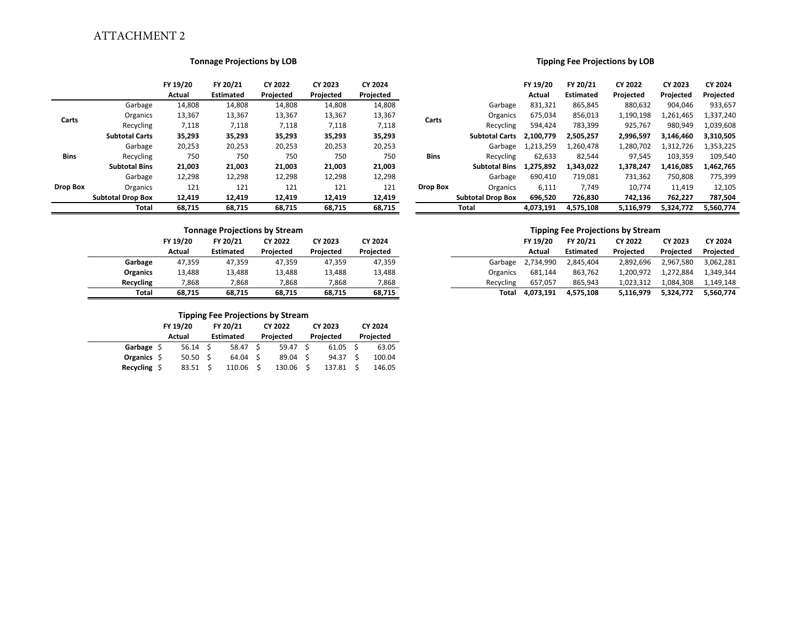### ATTACHMENT 2

#### **Tonnage Projections by LOB**

|                 |                          | FY 19/20      | FY 20/21         | CY 2022   | CY 2023   | CY 2024   |
|-----------------|--------------------------|---------------|------------------|-----------|-----------|-----------|
|                 |                          | <b>Actual</b> | <b>Estimated</b> | Projected | Projected | Projected |
|                 | Garbage                  | 14,808        | 14,808           | 14,808    | 14,808    | 14,808    |
| Carts           | Organics                 | 13,367        | 13,367           | 13,367    | 13,367    | 13,367    |
|                 | Recycling                | 7,118         | 7,118            | 7.118     | 7,118     | 7,118     |
|                 | <b>Subtotal Carts</b>    | 35,293        | 35,293           | 35,293    | 35,293    | 35,293    |
|                 | Garbage                  | 20,253        | 20,253           | 20,253    | 20,253    | 20,253    |
| <b>Bins</b>     | Recycling                | 750           | 750              | 750       | 750       | 750       |
|                 | <b>Subtotal Bins</b>     | 21,003        | 21,003           | 21,003    | 21,003    | 21,003    |
|                 | Garbage                  | 12,298        | 12,298           | 12,298    | 12,298    | 12,298    |
| <b>Drop Box</b> | Organics                 | 121           | 121              | 121       | 121       | 121       |
|                 | <b>Subtotal Drop Box</b> | 12,419        | 12,419           | 12,419    | 12,419    | 12,419    |
|                 | <b>Total</b>             | 68,715        | 68,715           | 68,715    | 68,715    | 68,715    |

# **Tonnage Projections by Stream Garbage**

### **Organics Recycling**

#### **Tipping Fee Projections by Stream**

| 1.1       |                    |          |                  |  |           |  |           |  |           |  |  |
|-----------|--------------------|----------|------------------|--|-----------|--|-----------|--|-----------|--|--|
|           | FY 19/20           | FY 20/21 |                  |  | CY 2022   |  | CY 2023   |  | CY 2024   |  |  |
|           | <b>Actual</b>      |          | <b>Estimated</b> |  | Projected |  | Projected |  | Projected |  |  |
| Garbage S | $56.14 \quad S$    |          | 58.47            |  | 59.47 \$  |  | 61.05     |  | 63.05     |  |  |
| Organics  | 50.50 <sub>5</sub> |          | 64.04            |  | 89.04 \$  |  | 94.37     |  | 100.04    |  |  |
| Recycling | 83.51              |          | 110.06           |  | 130.06    |  | 137.81    |  | 146.05    |  |  |

#### **Tipping Fee Projections by LOB**

|                       | FY 19/20 | FY 20/21         | CY 2022   | CY 2023   | CY 2024   |             |                          | FY 19/20  | FY 20/21         | <b>CY 2022</b> | CY 2023   | CY 2024   |
|-----------------------|----------|------------------|-----------|-----------|-----------|-------------|--------------------------|-----------|------------------|----------------|-----------|-----------|
|                       | Actual   | <b>Estimated</b> | Projected | Projected | Projected |             |                          | Actual    | <b>Estimated</b> | Projected      | Projected | Projected |
| Garbage               | 14,808   | 14,808           | 14,808    | 14,808    | 14,808    |             | Garbage                  | 831,321   | 865,845          | 880,632        | 904,046   | 933,657   |
| Organics              | 13,367   | 13,367           | 13,367    | 13,367    | 13,367    | Carts       | Organics                 | 675,034   | 856,013          | 1,190,198      | 1,261,465 | 1,337,240 |
| Recycling             | 7,118    | 7,118            | 7,118     | 7,118     | 7,118     |             | Recycling                | 594.424   | 783,399          | 925,767        | 980,949   | 1.039.608 |
| <b>Subtotal Carts</b> | 35,293   | 35,293           | 35,293    | 35,293    | 35,293    |             | <b>Subtotal Carts</b>    | 2.100.779 | 2,505,257        | 2,996,597      | 3,146,460 | 3,310,505 |
| Garbage               | 20,253   | 20,253           | 20,253    | 20,253    | 20,253    |             | Garbage                  | 1,213,259 | 1,260,478        | 1,280,702      | 1,312,726 | 1,353,225 |
| Recycling             | 750      | 750              | 750       | 750       | 750       | <b>Bins</b> | Recycling                | 62.633    | 82,544           | 97,545         | 103,359   | 109,540   |
| <b>Subtotal Bins</b>  | 21,003   | 21,003           | 21,003    | 21,003    | 21,003    |             | <b>Subtotal Bins</b>     | 1,275,892 | 1.343.022        | 1,378,247      | 1,416,085 | 1,462,765 |
| Garbage               | 12,298   | 12,298           | 12,298    | 12,298    | 12,298    |             | Garbage                  | 690,410   | 719,081          | 731,362        | 750,808   | 775,399   |
| Organics              | 121      | 121              | 121       | 121       | 121       | Drop Box    | Organics                 | 6,111     | 7,749            | 10,774         | 11,419    | 12,105    |
| Subtotal Drop Box     | 12,419   | 12,419           | 12,419    | 12,419    | 12,419    |             | <b>Subtotal Drop Box</b> | 696,520   | 726,830          | 742,136        | 762,227   | 787,504   |
| Total                 | 68,715   | 68,715           | 68,715    | 68,715    | 68,715    |             | <b>Total</b>             | 4,073,191 | 4,575,108        | 5,116,979      | 5,324,772 | 5,560,774 |

#### **Tipping Fee Projections by Stream**

|                   | FY 19/20 | FY 20/21         | CY 2022   | CY 2023   | CY 2024   |           | FY 19/20  | FY 20/21         | CY 2022   | CY 2023   | CY 2024   |
|-------------------|----------|------------------|-----------|-----------|-----------|-----------|-----------|------------------|-----------|-----------|-----------|
|                   | Actual   | <b>Estimated</b> | Projected | Projected | Projected |           | Actual    | <b>Estimated</b> | Projected | Projected | Projected |
| bage <sup>.</sup> | 47,359   | 47,359           | 47.359    | 47.359    | 47,359    | Garbage   | 2,734,990 | 2,845,404        | 2,892,696 | 2,967,580 | 3,062,281 |
| anics             | 13.488   | 13,488           | 13.488    | 13,488    | 13,488    | Organics  | 681.144   | 863.762          | 1.200.972 | 1.272.884 | 1.349.344 |
| cling             | 7,868    | 7,868            | 7,868     | 7,868     | 7,868     | Recycling | 657.057   | 865,943          | 1.023.312 | 1.084.308 | 1.149.148 |
| Total             | 68.715   | 68,715           | 68,715    | 68,715    | 68,715    | Total     | 4,073,191 | 4,575,108        | 5,116,979 | 5,324,772 | 5,560,774 |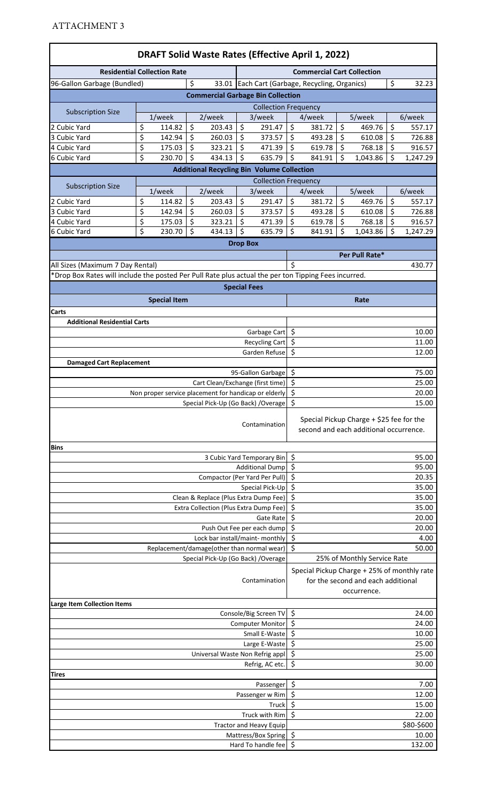| <b>DRAFT Solid Waste Rates (Effective April 1, 2022)</b>                                             |                                |                                                      |               |                                        |                       |                                                   |                            |                                                |          |                                                                                                  |               |                  |
|------------------------------------------------------------------------------------------------------|--------------------------------|------------------------------------------------------|---------------|----------------------------------------|-----------------------|---------------------------------------------------|----------------------------|------------------------------------------------|----------|--------------------------------------------------------------------------------------------------|---------------|------------------|
| <b>Residential Collection Rate</b>                                                                   |                                |                                                      |               |                                        |                       |                                                   |                            | <b>Commercial Cart Collection</b>              |          |                                                                                                  |               |                  |
| 96-Gallon Garbage (Bundled)                                                                          |                                |                                                      | \$            |                                        |                       |                                                   |                            | 33.01 Each Cart (Garbage, Recycling, Organics) |          |                                                                                                  | \$            | 32.23            |
|                                                                                                      |                                |                                                      |               |                                        |                       | <b>Commercial Garbage Bin Collection</b>          |                            |                                                |          |                                                                                                  |               |                  |
|                                                                                                      |                                |                                                      |               |                                        |                       | <b>Collection Frequency</b>                       |                            |                                                |          |                                                                                                  |               |                  |
| <b>Subscription Size</b>                                                                             |                                | 1/week                                               |               | 2/week                                 |                       | 3/week                                            |                            | 4/week                                         |          | 5/week                                                                                           |               | 6/week           |
| 2 Cubic Yard                                                                                         | \$                             | 114.82                                               | \$            | 203.43                                 | \$                    | 291.47                                            | \$                         | 381.72                                         | \$       | 469.76                                                                                           | \$            | 557.17           |
| 3 Cubic Yard<br>4 Cubic Yard                                                                         | \$<br>\$                       | 142.94<br>175.03                                     | \$<br>\$      | 260.03<br>323.21                       | \$<br>\$              | 373.57<br>471.39                                  | \$<br>\$                   | 493.28<br>619.78                               | \$<br>\$ | 610.08<br>768.18                                                                                 | \$<br>\$      | 726.88<br>916.57 |
| 6 Cubic Yard                                                                                         | \$                             | 230.70                                               | \$            | 434.13                                 | $\zeta$               | 635.79                                            | $\zeta$                    | 841.91                                         | \$       | 1,043.86                                                                                         | \$            | 1,247.29         |
|                                                                                                      |                                |                                                      |               |                                        |                       | <b>Additional Recycling Bin Volume Collection</b> |                            |                                                |          |                                                                                                  |               |                  |
|                                                                                                      |                                |                                                      |               |                                        |                       | <b>Collection Frequency</b>                       |                            |                                                |          |                                                                                                  |               |                  |
| <b>Subscription Size</b>                                                                             |                                | $1$ /week                                            |               | 2/week                                 |                       | 3/week                                            |                            | 4/week                                         |          | 5/week                                                                                           |               | 6/week           |
| 2 Cubic Yard                                                                                         | \$                             | 114.82                                               | \$            | 203.43                                 | \$                    | 291.47                                            | $\zeta$                    | 381.72                                         | \$       | 469.76                                                                                           | \$            | 557.17           |
| 3 Cubic Yard                                                                                         | \$                             | 142.94                                               | \$            | 260.03                                 | \$                    | 373.57                                            | \$                         | 493.28                                         | \$       | 610.08                                                                                           | \$            | 726.88           |
| 4 Cubic Yard                                                                                         | \$                             | 175.03                                               | \$<br>$\zeta$ | 323.21                                 | \$                    | 471.39                                            | $\zeta$                    | 619.78                                         | \$       | 768.18                                                                                           | $\zeta$<br>\$ | 916.57           |
| 6 Cubic Yard                                                                                         | \$                             | 230.70                                               |               | 434.13                                 | \$<br><b>Drop Box</b> | 635.79                                            | $\zeta$                    | 841.91                                         | \$       | 1,043.86                                                                                         |               | 1,247.29         |
|                                                                                                      |                                |                                                      |               |                                        |                       |                                                   | Per Pull Rate*             |                                                |          |                                                                                                  |               |                  |
| All Sizes (Maximum 7 Day Rental)                                                                     |                                |                                                      |               |                                        |                       |                                                   | \$                         |                                                |          |                                                                                                  |               | 430.77           |
| *Drop Box Rates will include the posted Per Pull Rate plus actual the per ton Tipping Fees incurred. |                                |                                                      |               |                                        |                       |                                                   |                            |                                                |          |                                                                                                  |               |                  |
|                                                                                                      |                                |                                                      |               |                                        | <b>Special Fees</b>   |                                                   |                            |                                                |          |                                                                                                  |               |                  |
|                                                                                                      |                                | <b>Special Item</b>                                  |               |                                        |                       |                                                   |                            |                                                |          | Rate                                                                                             |               |                  |
| Carts                                                                                                |                                |                                                      |               |                                        |                       |                                                   |                            |                                                |          |                                                                                                  |               |                  |
| <b>Additional Residential Carts</b>                                                                  |                                |                                                      |               |                                        |                       |                                                   |                            |                                                |          |                                                                                                  |               |                  |
|                                                                                                      |                                |                                                      |               |                                        |                       | Garbage Cart \$                                   |                            |                                                |          |                                                                                                  |               | 10.00            |
|                                                                                                      |                                |                                                      |               |                                        |                       | <b>Recycling Cart</b>                             | \$                         |                                                |          |                                                                                                  |               | 11.00            |
|                                                                                                      |                                |                                                      |               |                                        |                       | Garden Refuse                                     | \$                         |                                                |          |                                                                                                  |               | 12.00            |
| <b>Damaged Cart Replacement</b>                                                                      |                                |                                                      |               |                                        |                       |                                                   | $\ddot{\varsigma}$         |                                                |          |                                                                                                  |               |                  |
|                                                                                                      |                                |                                                      |               | Cart Clean/Exchange (first time)       |                       | 95-Gallon Garbage                                 | \$                         |                                                |          |                                                                                                  |               | 75.00<br>25.00   |
|                                                                                                      |                                | Non proper service placement for handicap or elderly |               |                                        |                       |                                                   | \$                         |                                                |          |                                                                                                  |               | 20.00            |
|                                                                                                      |                                |                                                      |               |                                        |                       | Special Pick-Up (Go Back) / Overage \$            |                            |                                                |          |                                                                                                  |               | 15.00            |
|                                                                                                      |                                |                                                      |               |                                        |                       | Contamination                                     |                            |                                                |          | Special Pickup Charge + \$25 fee for the<br>second and each additional occurrence.               |               |                  |
| <b>Bins</b>                                                                                          |                                |                                                      |               |                                        |                       |                                                   |                            |                                                |          |                                                                                                  |               |                  |
|                                                                                                      |                                |                                                      |               |                                        |                       | 3 Cubic Yard Temporary Bin                        | \$                         |                                                |          |                                                                                                  |               | 95.00            |
|                                                                                                      |                                |                                                      |               | Compactor (Per Yard Per Pull)          |                       | <b>Additional Dump</b>                            | $\zeta$<br>$\zeta$         |                                                |          |                                                                                                  |               | 95.00<br>20.35   |
|                                                                                                      |                                |                                                      |               |                                        |                       | Special Pick-Up                                   | $\ddot{\varsigma}$         |                                                |          |                                                                                                  |               | 35.00            |
|                                                                                                      |                                |                                                      |               | Clean & Replace (Plus Extra Dump Fee)  |                       |                                                   | \$                         |                                                |          |                                                                                                  |               | 35.00            |
|                                                                                                      |                                |                                                      |               | Extra Collection (Plus Extra Dump Fee) |                       |                                                   | \$                         |                                                |          |                                                                                                  |               | 35.00            |
|                                                                                                      |                                |                                                      |               |                                        |                       | Gate Rate                                         | \$                         |                                                |          |                                                                                                  |               | 20.00            |
|                                                                                                      |                                |                                                      |               | Push Out Fee per each dump             |                       |                                                   | \$                         |                                                |          |                                                                                                  |               | 20.00            |
|                                                                                                      |                                |                                                      |               | Lock bar install/maint- monthly        |                       |                                                   | \$<br>$\zeta$              |                                                |          |                                                                                                  |               | 4.00             |
|                                                                                                      |                                | Replacement/damage(other than normal wear)           |               | Special Pick-Up (Go Back) / Overage    |                       |                                                   |                            |                                                |          | 25% of Monthly Service Rate                                                                      |               | 50.00            |
|                                                                                                      |                                |                                                      |               |                                        |                       | Contamination                                     |                            |                                                |          | Special Pickup Charge + 25% of monthly rate<br>for the second and each additional<br>occurrence. |               |                  |
| <b>Large Item Collection Items</b>                                                                   |                                |                                                      |               |                                        |                       |                                                   |                            |                                                |          |                                                                                                  |               |                  |
|                                                                                                      |                                |                                                      |               |                                        |                       | Console/Big Screen TV<br><b>Computer Monitor</b>  | \$                         |                                                |          |                                                                                                  |               | 24.00            |
|                                                                                                      | \$                             |                                                      |               |                                        |                       | 24.00                                             |                            |                                                |          |                                                                                                  |               |                  |
|                                                                                                      | Small E-Waste<br>Large E-Waste | $\zeta$<br>$\ddot{\varsigma}$                        |               |                                        |                       |                                                   | 10.00<br>25.00             |                                                |          |                                                                                                  |               |                  |
|                                                                                                      |                                |                                                      |               | Universal Waste Non Refrig appl        |                       |                                                   | \$                         |                                                |          |                                                                                                  |               | 25.00            |
|                                                                                                      |                                |                                                      |               |                                        |                       | Refrig, AC etc.                                   | \$                         |                                                |          |                                                                                                  |               | 30.00            |
| Tires                                                                                                |                                |                                                      |               |                                        |                       |                                                   |                            |                                                |          |                                                                                                  |               |                  |
|                                                                                                      |                                |                                                      |               |                                        |                       | Passenger                                         | \$                         |                                                |          |                                                                                                  |               | 7.00             |
|                                                                                                      |                                |                                                      |               |                                        |                       | Passenger w Rim                                   | \$<br>12.00<br>\$<br>15.00 |                                                |          |                                                                                                  |               |                  |
|                                                                                                      |                                |                                                      |               |                                        |                       | Truck<br>Truck with Rim                           | \$<br>22.00                |                                                |          |                                                                                                  |               |                  |
|                                                                                                      |                                |                                                      |               |                                        |                       | <b>Tractor and Heavy Equip</b>                    |                            |                                                |          |                                                                                                  |               | \$80-\$600       |
|                                                                                                      |                                |                                                      |               |                                        |                       | Mattress/Box Spring                               | $\ddot{\varsigma}$         |                                                |          |                                                                                                  |               | 10.00            |
|                                                                                                      |                                |                                                      |               |                                        |                       | Hard To handle fee                                | $\zeta$                    |                                                |          |                                                                                                  |               | 132.00           |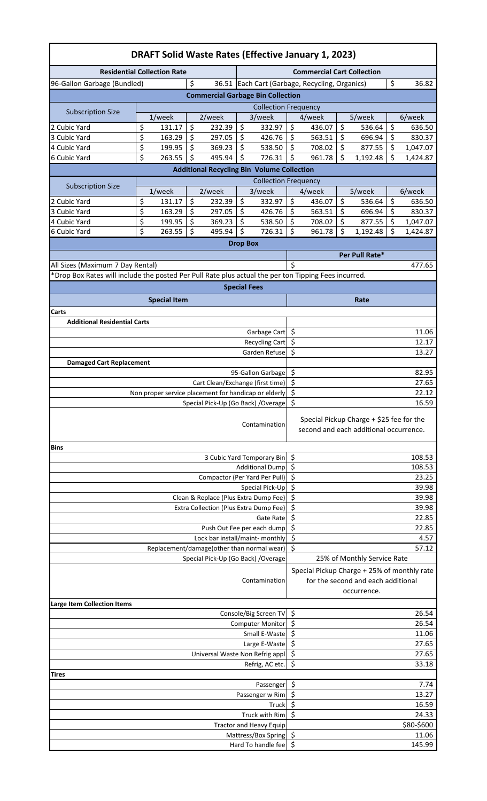| <b>DRAFT Solid Waste Rates (Effective January 1, 2023)</b>                                           |                                                      |                                                               |                     |                                                  |                                                                                    |                                                |          |                                                   |          |                    |  |
|------------------------------------------------------------------------------------------------------|------------------------------------------------------|---------------------------------------------------------------|---------------------|--------------------------------------------------|------------------------------------------------------------------------------------|------------------------------------------------|----------|---------------------------------------------------|----------|--------------------|--|
|                                                                                                      | <b>Residential Collection Rate</b>                   |                                                               |                     |                                                  |                                                                                    | <b>Commercial Cart Collection</b>              |          |                                                   |          |                    |  |
| 96-Gallon Garbage (Bundled)                                                                          |                                                      | \$                                                            |                     |                                                  |                                                                                    | 36.51 Each Cart (Garbage, Recycling, Organics) |          |                                                   | \$       | 36.82              |  |
|                                                                                                      |                                                      | <b>Commercial Garbage Bin Collection</b>                      |                     |                                                  |                                                                                    |                                                |          |                                                   |          |                    |  |
|                                                                                                      |                                                      |                                                               |                     | <b>Collection Frequency</b>                      |                                                                                    |                                                |          |                                                   |          |                    |  |
| <b>Subscription Size</b>                                                                             | 1/week                                               | 2/week                                                        |                     | 3/week                                           |                                                                                    | 4/week                                         |          | 5/week                                            |          | 6/week             |  |
| 2 Cubic Yard                                                                                         | \$<br>131.17                                         | \$<br>232.39                                                  | \$                  | 332.97                                           | \$                                                                                 | 436.07                                         | \$       | 536.64                                            | \$       | 636.50             |  |
| 3 Cubic Yard                                                                                         | \$<br>163.29                                         | \$<br>297.05                                                  | \$                  | 426.76                                           | \$                                                                                 | 563.51                                         | \$       | 696.94                                            | \$       | 830.37             |  |
| 4 Cubic Yard                                                                                         | \$<br>199.95                                         | \$<br>369.23                                                  | \$                  | 538.50                                           | \$                                                                                 | 708.02                                         | \$       | 877.55                                            | \$       | 1,047.07           |  |
| 6 Cubic Yard                                                                                         | \$<br>263.55                                         | \$<br>495.94                                                  | \$                  | 726.31                                           | \$                                                                                 | 961.78                                         | \$       | 1,192.48                                          | \$       | 1,424.87           |  |
|                                                                                                      |                                                      | <b>Additional Recycling Bin Volume Collection</b>             |                     |                                                  |                                                                                    |                                                |          |                                                   |          |                    |  |
| <b>Subscription Size</b>                                                                             |                                                      |                                                               |                     | <b>Collection Frequency</b>                      |                                                                                    |                                                |          |                                                   |          |                    |  |
|                                                                                                      | 1/week                                               | 2/week                                                        |                     | 3/week                                           |                                                                                    | 4/week                                         |          | 5/week                                            |          | 6/week             |  |
| 2 Cubic Yard                                                                                         | \$<br>131.17<br>\$                                   | \$<br>232.39<br>\$                                            | \$<br>\$            | 332.97                                           | \$<br>\$                                                                           | 436.07                                         | \$<br>\$ | 536.64<br>696.94                                  | \$<br>\$ | 636.50             |  |
| 3 Cubic Yard<br>4 Cubic Yard                                                                         | 163.29<br>\$<br>199.95                               | 297.05<br>\$<br>369.23                                        | \$                  | 426.76<br>538.50                                 | \$                                                                                 | 563.51<br>708.02                               | \$       | 877.55                                            | \$       | 830.37<br>1,047.07 |  |
| 6 Cubic Yard                                                                                         | \$<br>263.55                                         | \$<br>495.94                                                  | \$                  | 726.31                                           | \$                                                                                 | 961.78                                         | \$       | 1,192.48                                          | \$       | 1,424.87           |  |
|                                                                                                      |                                                      |                                                               |                     |                                                  |                                                                                    |                                                |          |                                                   |          |                    |  |
| <b>Drop Box</b><br>Per Pull Rate*                                                                    |                                                      |                                                               |                     |                                                  |                                                                                    |                                                |          |                                                   |          |                    |  |
| All Sizes (Maximum 7 Day Rental)                                                                     |                                                      |                                                               |                     |                                                  | \$                                                                                 |                                                |          |                                                   |          | 477.65             |  |
| *Drop Box Rates will include the posted Per Pull Rate plus actual the per ton Tipping Fees incurred. |                                                      |                                                               |                     |                                                  |                                                                                    |                                                |          |                                                   |          |                    |  |
|                                                                                                      |                                                      |                                                               | <b>Special Fees</b> |                                                  |                                                                                    |                                                |          |                                                   |          |                    |  |
|                                                                                                      |                                                      |                                                               |                     |                                                  |                                                                                    |                                                |          |                                                   |          |                    |  |
|                                                                                                      | <b>Special Item</b>                                  |                                                               |                     |                                                  |                                                                                    |                                                |          | Rate                                              |          |                    |  |
| Carts<br><b>Additional Residential Carts</b>                                                         |                                                      |                                                               |                     |                                                  |                                                                                    |                                                |          |                                                   |          |                    |  |
|                                                                                                      |                                                      |                                                               |                     | Garbage Cart                                     | $\zeta$                                                                            |                                                |          |                                                   |          | 11.06              |  |
|                                                                                                      |                                                      |                                                               |                     | Recycling Cart                                   | \$                                                                                 |                                                |          |                                                   |          | 12.17              |  |
|                                                                                                      |                                                      |                                                               |                     | Garden Refuse                                    | \$                                                                                 |                                                |          |                                                   |          | 13.27              |  |
| <b>Damaged Cart Replacement</b>                                                                      |                                                      |                                                               |                     |                                                  |                                                                                    |                                                |          |                                                   |          |                    |  |
|                                                                                                      |                                                      |                                                               |                     | 95-Gallon Garbage                                | \$                                                                                 |                                                |          |                                                   |          | 82.95              |  |
|                                                                                                      |                                                      | Cart Clean/Exchange (first time)                              |                     |                                                  | \$                                                                                 |                                                |          |                                                   |          | 27.65              |  |
|                                                                                                      | Non proper service placement for handicap or elderly |                                                               |                     |                                                  | \$                                                                                 |                                                |          |                                                   |          | 22.12              |  |
|                                                                                                      |                                                      | Special Pick-Up (Go Back) / Overage                           |                     |                                                  | \$                                                                                 |                                                |          |                                                   |          | 16.59              |  |
|                                                                                                      |                                                      |                                                               |                     | Contamination                                    | Special Pickup Charge + \$25 fee for the<br>second and each additional occurrence. |                                                |          |                                                   |          |                    |  |
| <b>Bins</b>                                                                                          |                                                      |                                                               |                     |                                                  |                                                                                    |                                                |          |                                                   |          |                    |  |
|                                                                                                      |                                                      |                                                               |                     | 3 Cubic Yard Temporary Bin                       | \$                                                                                 |                                                |          |                                                   |          | 108.53             |  |
|                                                                                                      |                                                      |                                                               |                     | <b>Additional Dump</b>                           | \$                                                                                 |                                                |          |                                                   |          | 108.53             |  |
|                                                                                                      |                                                      | Compactor (Per Yard Per Pull)                                 |                     |                                                  | \$                                                                                 |                                                |          |                                                   |          | 23.25              |  |
|                                                                                                      |                                                      |                                                               |                     | Special Pick-Up                                  | \$                                                                                 |                                                |          |                                                   |          | 39.98              |  |
|                                                                                                      |                                                      | Clean & Replace (Plus Extra Dump Fee)                         |                     |                                                  | \$                                                                                 |                                                |          |                                                   |          | 39.98              |  |
|                                                                                                      |                                                      | Extra Collection (Plus Extra Dump Fee)                        |                     |                                                  | \$                                                                                 |                                                |          |                                                   |          | 39.98              |  |
|                                                                                                      |                                                      |                                                               |                     | Gate Rate                                        | \$                                                                                 |                                                |          |                                                   |          | 22.85              |  |
|                                                                                                      |                                                      | Push Out Fee per each dump<br>Lock bar install/maint- monthly |                     |                                                  | \$<br>\$                                                                           |                                                |          |                                                   |          | 22.85<br>4.57      |  |
|                                                                                                      |                                                      | Replacement/damage(other than normal wear)                    |                     |                                                  | \$                                                                                 |                                                |          |                                                   |          | 57.12              |  |
|                                                                                                      |                                                      | Special Pick-Up (Go Back) / Overage                           |                     |                                                  |                                                                                    |                                                |          | 25% of Monthly Service Rate                       |          |                    |  |
|                                                                                                      |                                                      |                                                               |                     | Contamination                                    |                                                                                    | Special Pickup Charge + 25% of monthly rate    |          | for the second and each additional<br>occurrence. |          |                    |  |
| <b>Large Item Collection Items</b>                                                                   |                                                      |                                                               |                     |                                                  |                                                                                    |                                                |          |                                                   |          |                    |  |
|                                                                                                      |                                                      |                                                               |                     | Console/Big Screen TV<br><b>Computer Monitor</b> | \$                                                                                 |                                                |          |                                                   |          | 26.54              |  |
|                                                                                                      | \$<br>\$                                             |                                                               |                     |                                                  |                                                                                    | 26.54                                          |          |                                                   |          |                    |  |
|                                                                                                      | Small E-Waste                                        |                                                               |                     |                                                  |                                                                                    |                                                |          |                                                   |          | 11.06              |  |
|                                                                                                      |                                                      |                                                               |                     | Large E-Waste                                    | \$<br>\$                                                                           |                                                |          |                                                   |          | 27.65<br>27.65     |  |
|                                                                                                      |                                                      | Universal Waste Non Refrig appl                               |                     | Refrig, AC etc.                                  | \$                                                                                 |                                                |          |                                                   |          | 33.18              |  |
| Tires                                                                                                |                                                      |                                                               |                     |                                                  |                                                                                    |                                                |          |                                                   |          |                    |  |
|                                                                                                      |                                                      |                                                               |                     | Passenger<br>Passenger w Rim                     | \$<br>7.74<br>\$<br>13.27                                                          |                                                |          |                                                   |          |                    |  |
|                                                                                                      |                                                      |                                                               |                     | Truck                                            | \$<br>16.59                                                                        |                                                |          |                                                   |          |                    |  |
|                                                                                                      |                                                      |                                                               |                     | Truck with Rim                                   | \$<br>24.33                                                                        |                                                |          |                                                   |          |                    |  |
|                                                                                                      |                                                      |                                                               |                     | <b>Tractor and Heavy Equip</b>                   | \$80-\$600<br>\$                                                                   |                                                |          |                                                   |          |                    |  |
|                                                                                                      | Mattress/Box Spring                                  |                                                               |                     |                                                  |                                                                                    |                                                |          |                                                   |          | 11.06              |  |
|                                                                                                      | \$<br>Hard To handle fee                             |                                                               |                     |                                                  |                                                                                    | 145.99                                         |          |                                                   |          |                    |  |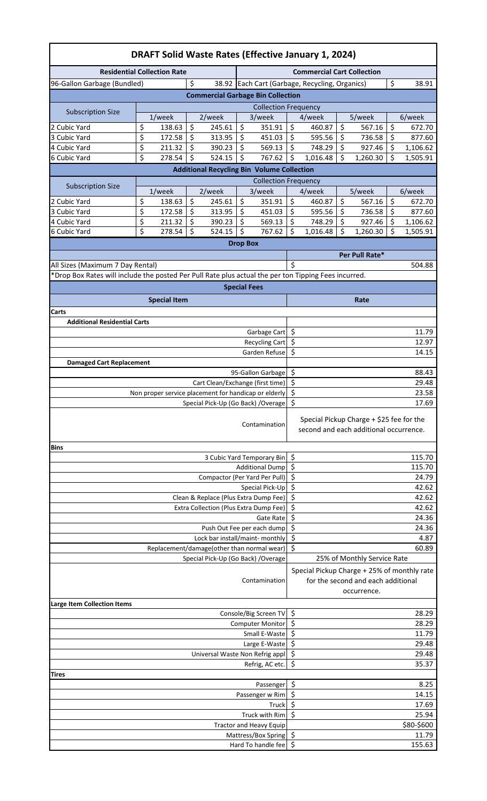| <b>DRAFT Solid Waste Rates (Effective January 1, 2024)</b>                                           |                                                       |                                                      |                     |                                       |                                                                                                  |                                                |    |                |    |            |  |
|------------------------------------------------------------------------------------------------------|-------------------------------------------------------|------------------------------------------------------|---------------------|---------------------------------------|--------------------------------------------------------------------------------------------------|------------------------------------------------|----|----------------|----|------------|--|
|                                                                                                      | <b>Residential Collection Rate</b>                    |                                                      |                     |                                       |                                                                                                  | <b>Commercial Cart Collection</b>              |    |                |    |            |  |
| 96-Gallon Garbage (Bundled)                                                                          |                                                       | \$                                                   |                     |                                       |                                                                                                  | 38.92 Each Cart (Garbage, Recycling, Organics) |    |                | \$ | 38.91      |  |
|                                                                                                      |                                                       | <b>Commercial Garbage Bin Collection</b>             |                     |                                       |                                                                                                  |                                                |    |                |    |            |  |
|                                                                                                      |                                                       |                                                      |                     | <b>Collection Frequency</b>           |                                                                                                  |                                                |    |                |    |            |  |
| <b>Subscription Size</b>                                                                             | 1/week                                                | 2/week                                               |                     | 3/week                                |                                                                                                  | 4/week                                         |    | 5/week         |    | 6/week     |  |
| 2 Cubic Yard                                                                                         | \$<br>138.63                                          | \$<br>245.61                                         | \$                  | 351.91                                | \$                                                                                               | 460.87                                         | \$ | 567.16         | \$ | 672.70     |  |
| 3 Cubic Yard                                                                                         | \$<br>172.58                                          | \$<br>313.95                                         | \$                  | 451.03                                | \$                                                                                               | 595.56                                         | \$ | 736.58         | \$ | 877.60     |  |
| 4 Cubic Yard                                                                                         | \$<br>211.32                                          | \$<br>390.23                                         | \$                  | 569.13                                | \$                                                                                               | 748.29                                         | \$ | 927.46         | \$ | 1,106.62   |  |
| 6 Cubic Yard                                                                                         | \$<br>278.54                                          | \$<br>524.15                                         | \$                  | 767.62                                | \$                                                                                               | 1,016.48                                       | \$ | 1,260.30       | \$ | 1,505.91   |  |
|                                                                                                      |                                                       | <b>Additional Recycling Bin Volume Collection</b>    |                     |                                       |                                                                                                  |                                                |    |                |    |            |  |
| <b>Subscription Size</b>                                                                             | 1/week                                                | 2/week                                               |                     | <b>Collection Frequency</b><br>3/week |                                                                                                  | 4/week                                         |    | 5/week         |    | 6/week     |  |
| 2 Cubic Yard                                                                                         | \$<br>138.63                                          | \$<br>245.61                                         | \$                  | 351.91                                | \$                                                                                               | 460.87                                         | \$ | 567.16         | \$ | 672.70     |  |
| 3 Cubic Yard                                                                                         | \$<br>172.58                                          | \$<br>313.95                                         | \$                  | 451.03                                | \$                                                                                               | 595.56                                         | \$ | 736.58         | \$ | 877.60     |  |
| 4 Cubic Yard                                                                                         | \$<br>211.32                                          | \$<br>390.23                                         | \$                  | 569.13                                | \$                                                                                               | 748.29                                         | \$ | 927.46         | \$ | 1,106.62   |  |
| 6 Cubic Yard                                                                                         | \$<br>278.54                                          | \$<br>524.15                                         | \$                  | 767.62                                | \$                                                                                               | 1,016.48                                       | \$ | 1,260.30       | \$ | 1,505.91   |  |
|                                                                                                      |                                                       |                                                      | <b>Drop Box</b>     |                                       |                                                                                                  |                                                |    |                |    |            |  |
|                                                                                                      |                                                       |                                                      |                     |                                       |                                                                                                  |                                                |    | Per Pull Rate* |    |            |  |
| All Sizes (Maximum 7 Day Rental)                                                                     |                                                       |                                                      |                     |                                       | \$                                                                                               |                                                |    |                |    | 504.88     |  |
| *Drop Box Rates will include the posted Per Pull Rate plus actual the per ton Tipping Fees incurred. |                                                       |                                                      |                     |                                       |                                                                                                  |                                                |    |                |    |            |  |
|                                                                                                      |                                                       |                                                      | <b>Special Fees</b> |                                       |                                                                                                  |                                                |    |                |    |            |  |
|                                                                                                      | <b>Special Item</b>                                   |                                                      |                     |                                       |                                                                                                  |                                                |    | Rate           |    |            |  |
| Carts                                                                                                |                                                       |                                                      |                     |                                       |                                                                                                  |                                                |    |                |    |            |  |
| <b>Additional Residential Carts</b>                                                                  |                                                       |                                                      |                     |                                       |                                                                                                  |                                                |    |                |    |            |  |
|                                                                                                      |                                                       |                                                      |                     | Garbage Cart                          | $\zeta$                                                                                          |                                                |    |                |    | 11.79      |  |
|                                                                                                      |                                                       |                                                      |                     | Recycling Cart                        | \$                                                                                               |                                                |    |                |    | 12.97      |  |
|                                                                                                      |                                                       |                                                      |                     | Garden Refuse                         | \$                                                                                               |                                                |    |                |    | 14.15      |  |
| <b>Damaged Cart Replacement</b>                                                                      |                                                       |                                                      |                     | 95-Gallon Garbage                     | \$                                                                                               |                                                |    |                |    | 88.43      |  |
|                                                                                                      |                                                       | Cart Clean/Exchange (first time)                     |                     |                                       | \$<br>29.48                                                                                      |                                                |    |                |    |            |  |
|                                                                                                      |                                                       | Non proper service placement for handicap or elderly |                     |                                       | \$                                                                                               |                                                |    |                |    | 23.58      |  |
|                                                                                                      |                                                       | Special Pick-Up (Go Back) / Overage                  |                     |                                       | \$                                                                                               |                                                |    |                |    | 17.69      |  |
| Contamination                                                                                        |                                                       |                                                      |                     |                                       | Special Pickup Charge + \$25 fee for the<br>second and each additional occurrence.               |                                                |    |                |    |            |  |
|                                                                                                      |                                                       |                                                      |                     |                                       |                                                                                                  |                                                |    |                |    |            |  |
| Bins                                                                                                 |                                                       |                                                      |                     | 3 Cubic Yard Temporary Bin            |                                                                                                  |                                                |    |                |    |            |  |
|                                                                                                      | \$<br>\$                                              |                                                      |                     |                                       |                                                                                                  | 115.70<br>115.70                               |    |                |    |            |  |
|                                                                                                      |                                                       | Compactor (Per Yard Per Pull)                        |                     | <b>Additional Dump</b>                | \$                                                                                               |                                                |    |                |    | 24.79      |  |
|                                                                                                      | \$<br>42.62<br>Special Pick-Up                        |                                                      |                     |                                       |                                                                                                  |                                                |    |                |    |            |  |
|                                                                                                      | \$<br>Clean & Replace (Plus Extra Dump Fee)<br>42.62  |                                                      |                     |                                       |                                                                                                  |                                                |    |                |    |            |  |
|                                                                                                      | \$<br>42.62<br>Extra Collection (Plus Extra Dump Fee) |                                                      |                     |                                       |                                                                                                  |                                                |    |                |    |            |  |
|                                                                                                      | \$<br>24.36<br>Gate Rate                              |                                                      |                     |                                       |                                                                                                  |                                                |    |                |    |            |  |
|                                                                                                      | \$<br>Push Out Fee per each dump                      |                                                      |                     |                                       |                                                                                                  | 24.36                                          |    |                |    |            |  |
|                                                                                                      | \$<br>Lock bar install/maint- monthly                 |                                                      |                     |                                       |                                                                                                  | 4.87                                           |    |                |    |            |  |
| Replacement/damage(other than normal wear)<br>Special Pick-Up (Go Back) / Overage                    |                                                       |                                                      |                     |                                       |                                                                                                  | \$<br>60.89<br>25% of Monthly Service Rate     |    |                |    |            |  |
| Contamination                                                                                        |                                                       |                                                      |                     |                                       | Special Pickup Charge + 25% of monthly rate<br>for the second and each additional<br>occurrence. |                                                |    |                |    |            |  |
| <b>Large Item Collection Items</b>                                                                   |                                                       |                                                      |                     |                                       |                                                                                                  |                                                |    |                |    |            |  |
| Console/Big Screen TV                                                                                |                                                       |                                                      |                     |                                       |                                                                                                  |                                                |    |                |    | 28.29      |  |
| <b>Computer Monitor</b>                                                                              |                                                       |                                                      |                     |                                       |                                                                                                  | \$<br>\$<br>28.29                              |    |                |    |            |  |
| Small E-Waste                                                                                        |                                                       |                                                      |                     |                                       |                                                                                                  | \$<br>11.79                                    |    |                |    |            |  |
| Large E-Waste<br>Universal Waste Non Refrig appl                                                     |                                                       |                                                      |                     |                                       |                                                                                                  | \$<br>29.48<br>\$<br>29.48                     |    |                |    |            |  |
| Refrig, AC etc.                                                                                      |                                                       |                                                      |                     |                                       | \$                                                                                               |                                                |    |                |    | 35.37      |  |
| Tires                                                                                                |                                                       |                                                      |                     | Passenger                             | \$                                                                                               |                                                |    |                |    | 8.25       |  |
| Passenger w Rim                                                                                      |                                                       |                                                      |                     |                                       |                                                                                                  | \$<br>14.15                                    |    |                |    |            |  |
| Truck                                                                                                |                                                       |                                                      |                     |                                       | \$<br>17.69                                                                                      |                                                |    |                |    |            |  |
| Truck with Rim                                                                                       |                                                       |                                                      |                     |                                       | \$<br>25.94                                                                                      |                                                |    |                |    |            |  |
| <b>Tractor and Heavy Equip</b>                                                                       |                                                       |                                                      |                     |                                       |                                                                                                  |                                                |    |                |    | \$80-\$600 |  |
| Mattress/Box Spring                                                                                  |                                                       |                                                      |                     |                                       | \$<br>\$                                                                                         |                                                |    |                |    | 11.79      |  |
| Hard To handle fee                                                                                   |                                                       |                                                      |                     |                                       |                                                                                                  |                                                |    |                |    | 155.63     |  |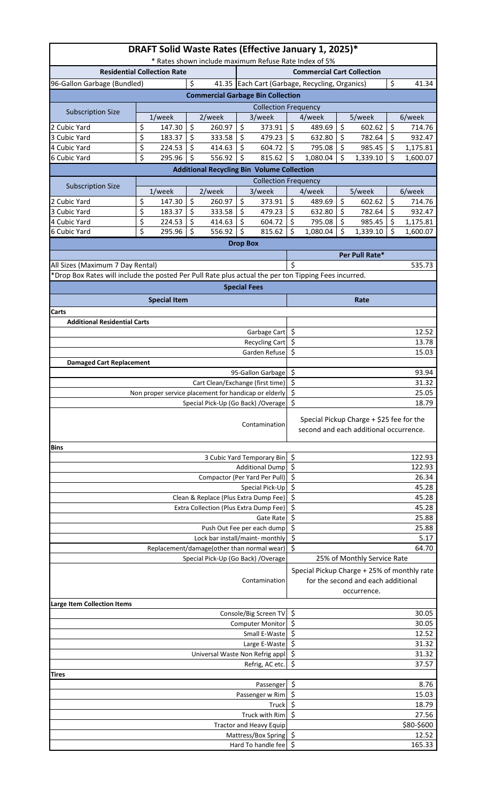| DRAFT Solid Waste Rates (Effective January 1, 2025)*<br>* Rates shown include maximum Refuse Rate Index of 5% |                                                      |                                                   |                     |                                                      |                                                                                                  |                                        |          |                                          |          |                    |  |
|---------------------------------------------------------------------------------------------------------------|------------------------------------------------------|---------------------------------------------------|---------------------|------------------------------------------------------|--------------------------------------------------------------------------------------------------|----------------------------------------|----------|------------------------------------------|----------|--------------------|--|
| <b>Residential Collection Rate</b>                                                                            |                                                      | <b>Commercial Cart Collection</b>                 |                     |                                                      |                                                                                                  |                                        |          |                                          |          |                    |  |
| 96-Gallon Garbage (Bundled)                                                                                   |                                                      | 41.35 Each Cart (Garbage, Recycling, Organics)    |                     |                                                      | \$                                                                                               | 41.34                                  |          |                                          |          |                    |  |
| <b>Commercial Garbage Bin Collection</b>                                                                      |                                                      |                                                   |                     |                                                      |                                                                                                  |                                        |          |                                          |          |                    |  |
| <b>Subscription Size</b>                                                                                      |                                                      | <b>Collection Frequency</b>                       |                     |                                                      |                                                                                                  |                                        |          |                                          |          |                    |  |
|                                                                                                               | 1/week                                               | 2/week<br>$\zeta$                                 |                     | 3/week                                               |                                                                                                  | 4/week                                 |          | 5/week                                   |          | 6/week             |  |
| 2 Cubic Yard<br>3 Cubic Yard                                                                                  | \$<br>147.30<br>\$<br>183.37                         | 260.97<br>$\zeta$<br>333.58                       | \$<br>\$            | 373.91<br>479.23                                     | \$<br>\$                                                                                         | 489.69<br>632.80                       | \$<br>\$ | 602.62<br>782.64                         | \$<br>\$ | 714.76<br>932.47   |  |
| 4 Cubic Yard                                                                                                  | \$<br>224.53                                         | \$<br>414.63                                      | \$                  | 604.72                                               | \$                                                                                               | 795.08                                 | \$       | 985.45                                   | \$       | 1,175.81           |  |
| 6 Cubic Yard                                                                                                  | \$<br>295.96                                         | \$<br>556.92                                      | \$                  | 815.62                                               | \$                                                                                               | 1,080.04                               | \$       | 1,339.10                                 | \$       | 1,600.07           |  |
|                                                                                                               |                                                      | <b>Additional Recycling Bin Volume Collection</b> |                     |                                                      |                                                                                                  |                                        |          |                                          |          |                    |  |
| <b>Subscription Size</b>                                                                                      |                                                      |                                                   |                     | <b>Collection Frequency</b>                          |                                                                                                  |                                        |          |                                          |          |                    |  |
|                                                                                                               | 1/week                                               | 2/week                                            |                     | 3/week                                               |                                                                                                  | 4/week                                 |          | 5/week                                   |          | 6/week             |  |
| 2 Cubic Yard                                                                                                  | \$<br>147.30                                         | \$<br>260.97                                      | \$                  | 373.91                                               | \$                                                                                               | 489.69                                 | \$       | 602.62                                   | \$       | 714.76             |  |
| 3 Cubic Yard<br>4 Cubic Yard                                                                                  | \$<br>183.37<br>\$<br>224.53                         | \$<br>333.58<br>\$<br>414.63                      | \$<br>\$            | 479.23<br>604.72                                     | \$<br>\$                                                                                         | 632.80<br>795.08                       | \$<br>\$ | 782.64<br>985.45                         | \$<br>\$ | 932.47<br>1,175.81 |  |
| 6 Cubic Yard                                                                                                  | \$<br>295.96                                         | \$<br>556.92                                      | \$                  | 815.62                                               | \$                                                                                               | 1,080.04                               | \$       | 1,339.10                                 | \$       | 1,600.07           |  |
|                                                                                                               |                                                      |                                                   | <b>Drop Box</b>     |                                                      |                                                                                                  |                                        |          |                                          |          |                    |  |
|                                                                                                               |                                                      |                                                   |                     |                                                      |                                                                                                  |                                        |          | Per Pull Rate*                           |          |                    |  |
| All Sizes (Maximum 7 Day Rental)                                                                              |                                                      |                                                   |                     |                                                      | Ś                                                                                                |                                        |          |                                          |          | 535.73             |  |
| *Drop Box Rates will include the posted Per Pull Rate plus actual the per ton Tipping Fees incurred.          |                                                      |                                                   |                     |                                                      |                                                                                                  |                                        |          |                                          |          |                    |  |
|                                                                                                               |                                                      |                                                   | <b>Special Fees</b> |                                                      |                                                                                                  |                                        |          |                                          |          |                    |  |
|                                                                                                               | <b>Special Item</b>                                  |                                                   |                     |                                                      |                                                                                                  |                                        |          | Rate                                     |          |                    |  |
| Carts                                                                                                         |                                                      |                                                   |                     |                                                      |                                                                                                  |                                        |          |                                          |          |                    |  |
| <b>Additional Residential Carts</b>                                                                           |                                                      |                                                   |                     |                                                      |                                                                                                  |                                        |          |                                          |          |                    |  |
|                                                                                                               |                                                      |                                                   |                     | Garbage Cart                                         | \$<br>\$                                                                                         |                                        |          |                                          |          | 12.52              |  |
|                                                                                                               |                                                      |                                                   |                     | <b>Recycling Cart</b><br>Garden Refuse               | \$                                                                                               |                                        |          |                                          |          | 13.78<br>15.03     |  |
| <b>Damaged Cart Replacement</b>                                                                               |                                                      |                                                   |                     |                                                      |                                                                                                  |                                        |          |                                          |          |                    |  |
|                                                                                                               |                                                      |                                                   |                     | 95-Gallon Garbage                                    | \$                                                                                               |                                        |          |                                          |          | 93.94              |  |
|                                                                                                               |                                                      | Cart Clean/Exchange (first time)                  |                     |                                                      | \$                                                                                               |                                        |          |                                          |          | 31.32              |  |
|                                                                                                               | Non proper service placement for handicap or elderly | \$<br>\$                                          |                     |                                                      |                                                                                                  |                                        | 25.05    |                                          |          |                    |  |
| Special Pick-Up (Go Back) / Overage                                                                           |                                                      |                                                   |                     |                                                      |                                                                                                  |                                        |          |                                          |          | 18.79              |  |
| Contamination                                                                                                 |                                                      |                                                   |                     |                                                      |                                                                                                  | second and each additional occurrence. |          | Special Pickup Charge + \$25 fee for the |          |                    |  |
| <b>Bins</b>                                                                                                   |                                                      |                                                   |                     |                                                      |                                                                                                  |                                        |          |                                          |          |                    |  |
|                                                                                                               |                                                      |                                                   |                     | 3 Cubic Yard Temporary Bin<br><b>Additional Dump</b> | \$<br>\$                                                                                         |                                        |          |                                          |          | 122.93<br>122.93   |  |
|                                                                                                               |                                                      | Compactor (Per Yard Per Pull)                     |                     |                                                      | \$<br>26.34                                                                                      |                                        |          |                                          |          |                    |  |
|                                                                                                               | \$<br>45.28<br>Special Pick-Up                       |                                                   |                     |                                                      |                                                                                                  |                                        |          |                                          |          |                    |  |
|                                                                                                               | \$                                                   |                                                   |                     |                                                      |                                                                                                  | 45.28                                  |          |                                          |          |                    |  |
|                                                                                                               | Extra Collection (Plus Extra Dump Fee)               | \$                                                |                     |                                                      |                                                                                                  |                                        | 45.28    |                                          |          |                    |  |
|                                                                                                               |                                                      |                                                   |                     | Gate Rate                                            | \$<br>\$                                                                                         |                                        |          |                                          |          | 25.88              |  |
| Push Out Fee per each dump<br>Lock bar install/maint- monthly                                                 |                                                      |                                                   |                     |                                                      |                                                                                                  |                                        |          |                                          |          | 25.88<br>5.17      |  |
|                                                                                                               | \$<br>\$                                             |                                                   |                     |                                                      |                                                                                                  | 64.70                                  |          |                                          |          |                    |  |
| Replacement/damage(other than normal wear)<br>Special Pick-Up (Go Back) / Overage                             |                                                      |                                                   |                     |                                                      |                                                                                                  |                                        |          | 25% of Monthly Service Rate              |          |                    |  |
| Contamination                                                                                                 |                                                      |                                                   |                     |                                                      | Special Pickup Charge + 25% of monthly rate<br>for the second and each additional<br>occurrence. |                                        |          |                                          |          |                    |  |
| <b>Large Item Collection Items</b>                                                                            |                                                      |                                                   |                     |                                                      | \$                                                                                               |                                        |          |                                          |          |                    |  |
| Console/Big Screen TV                                                                                         |                                                      |                                                   |                     |                                                      |                                                                                                  |                                        |          |                                          |          | 30.05              |  |
| Computer Monitor<br>Small E-Waste                                                                             |                                                      |                                                   |                     |                                                      |                                                                                                  | \$<br>30.05<br>\$                      |          |                                          |          |                    |  |
| Large E-Waste                                                                                                 |                                                      |                                                   |                     |                                                      |                                                                                                  |                                        |          |                                          |          | 12.52<br>31.32     |  |
| Universal Waste Non Refrig appl                                                                               |                                                      |                                                   |                     |                                                      |                                                                                                  |                                        |          |                                          |          | 31.32              |  |
| Refrig, AC etc.                                                                                               |                                                      |                                                   |                     |                                                      |                                                                                                  |                                        |          |                                          |          | 37.57              |  |
| Tires                                                                                                         |                                                      |                                                   |                     |                                                      | \$                                                                                               |                                        |          |                                          |          |                    |  |
| Passenger                                                                                                     |                                                      |                                                   |                     |                                                      |                                                                                                  |                                        |          |                                          |          | 8.76               |  |
| Passenger w Rim<br>Truck                                                                                      |                                                      |                                                   |                     |                                                      |                                                                                                  | \$<br>15.03<br>\$<br>18.79             |          |                                          |          |                    |  |
| Truck with Rim                                                                                                |                                                      |                                                   |                     |                                                      | \$<br>27.56                                                                                      |                                        |          |                                          |          |                    |  |
| <b>Tractor and Heavy Equip</b>                                                                                |                                                      |                                                   |                     |                                                      |                                                                                                  |                                        |          |                                          |          | \$80-\$600         |  |
| Mattress/Box Spring                                                                                           |                                                      |                                                   |                     |                                                      | \$<br>$\zeta$                                                                                    |                                        |          |                                          |          | 12.52              |  |
| Hard To handle fee                                                                                            |                                                      |                                                   |                     |                                                      |                                                                                                  |                                        |          |                                          |          | 165.33             |  |